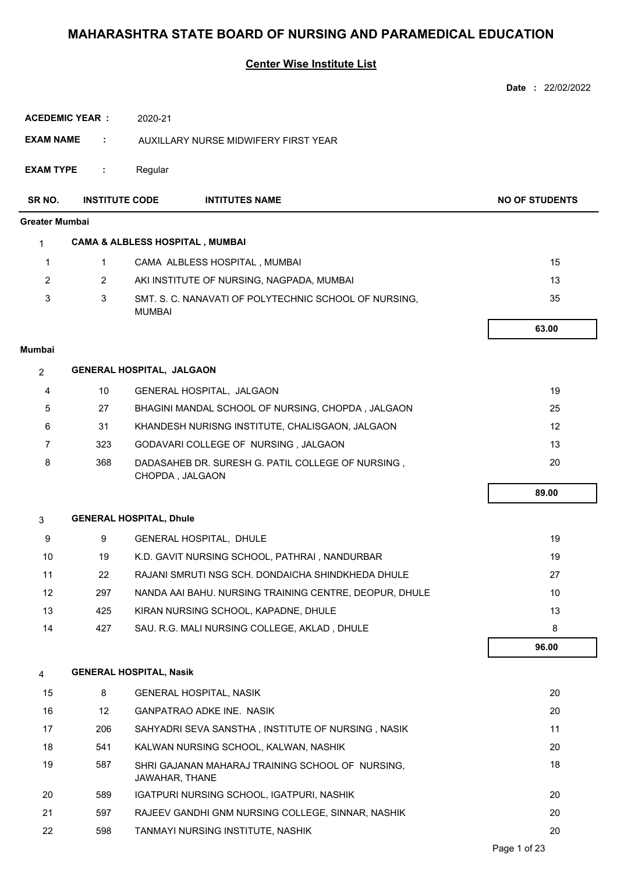|                       |                       |                                  |                                                                      | Date: 22/02/2022      |
|-----------------------|-----------------------|----------------------------------|----------------------------------------------------------------------|-----------------------|
|                       | <b>ACEDEMIC YEAR:</b> | 2020-21                          |                                                                      |                       |
| <b>EXAM NAME</b>      | ÷.                    |                                  | AUXILLARY NURSE MIDWIFERY FIRST YEAR                                 |                       |
|                       |                       |                                  |                                                                      |                       |
| <b>EXAM TYPE</b>      | ÷                     | Regular                          |                                                                      |                       |
| SR NO.                | <b>INSTITUTE CODE</b> |                                  | <b>INTITUTES NAME</b>                                                | <b>NO OF STUDENTS</b> |
| <b>Greater Mumbai</b> |                       |                                  |                                                                      |                       |
| $\mathbf{1}$          |                       |                                  | <b>CAMA &amp; ALBLESS HOSPITAL, MUMBAI</b>                           |                       |
| $\mathbf{1}$          | $\mathbf{1}$          |                                  | CAMA ALBLESS HOSPITAL, MUMBAI                                        | 15                    |
| $\overline{2}$        | $\overline{2}$        |                                  | AKI INSTITUTE OF NURSING, NAGPADA, MUMBAI                            | 13                    |
| 3                     | 3                     | <b>MUMBAI</b>                    | SMT. S. C. NANAVATI OF POLYTECHNIC SCHOOL OF NURSING,                | 35                    |
|                       |                       |                                  |                                                                      | 63.00                 |
| <b>Mumbai</b>         |                       |                                  |                                                                      |                       |
| $\overline{2}$        |                       | <b>GENERAL HOSPITAL, JALGAON</b> |                                                                      |                       |
| 4                     | 10                    |                                  | GENERAL HOSPITAL, JALGAON                                            | 19                    |
| 5                     | 27                    |                                  | BHAGINI MANDAL SCHOOL OF NURSING, CHOPDA, JALGAON                    | 25                    |
| 6                     | 31                    |                                  | KHANDESH NURISNG INSTITUTE, CHALISGAON, JALGAON                      | 12                    |
| $\overline{7}$        | 323                   |                                  | GODAVARI COLLEGE OF NURSING, JALGAON                                 | 13                    |
| 8                     | 368                   |                                  | DADASAHEB DR. SURESH G. PATIL COLLEGE OF NURSING,<br>CHOPDA, JALGAON | 20                    |
|                       |                       |                                  |                                                                      | 89.00                 |
|                       |                       |                                  |                                                                      |                       |
| 3                     |                       | <b>GENERAL HOSPITAL, Dhule</b>   |                                                                      |                       |
| 9                     | 9                     |                                  | GENERAL HOSPITAL, DHULE                                              | 19                    |
| 10                    | 19                    |                                  | K.D. GAVIT NURSING SCHOOL, PATHRAI, NANDURBAR                        | 19                    |
| 11                    | 22                    |                                  | RAJANI SMRUTI NSG SCH. DONDAICHA SHINDKHEDA DHULE                    | 27                    |
| 12                    | 297                   |                                  | NANDA AAI BAHU. NURSING TRAINING CENTRE, DEOPUR, DHULE               | 10                    |
| 13                    | 425                   |                                  | KIRAN NURSING SCHOOL, KAPADNE, DHULE                                 | 13                    |
| 14                    | 427                   |                                  | SAU. R.G. MALI NURSING COLLEGE, AKLAD, DHULE                         | 8<br>96.00            |
|                       |                       |                                  |                                                                      |                       |
| $\overline{4}$        |                       | <b>GENERAL HOSPITAL, Nasik</b>   |                                                                      |                       |
| 15                    | 8                     |                                  | <b>GENERAL HOSPITAL, NASIK</b>                                       | 20                    |
| 16                    | 12                    |                                  | <b>GANPATRAO ADKE INE. NASIK</b>                                     | 20                    |
| 17                    | 206                   |                                  | SAHYADRI SEVA SANSTHA, INSTITUTE OF NURSING, NASIK                   | 11                    |
| 18                    | 541                   |                                  | KALWAN NURSING SCHOOL, KALWAN, NASHIK                                | 20                    |
| 19                    | 587                   | JAWAHAR, THANE                   | SHRI GAJANAN MAHARAJ TRAINING SCHOOL OF NURSING,                     | 18                    |
| 20                    | 589                   |                                  | IGATPURI NURSING SCHOOL, IGATPURI, NASHIK                            | 20                    |
| 21                    | 597                   |                                  | RAJEEV GANDHI GNM NURSING COLLEGE, SINNAR, NASHIK                    | 20                    |
| 22                    | 598                   |                                  | TANMAYI NURSING INSTITUTE, NASHIK                                    | 20                    |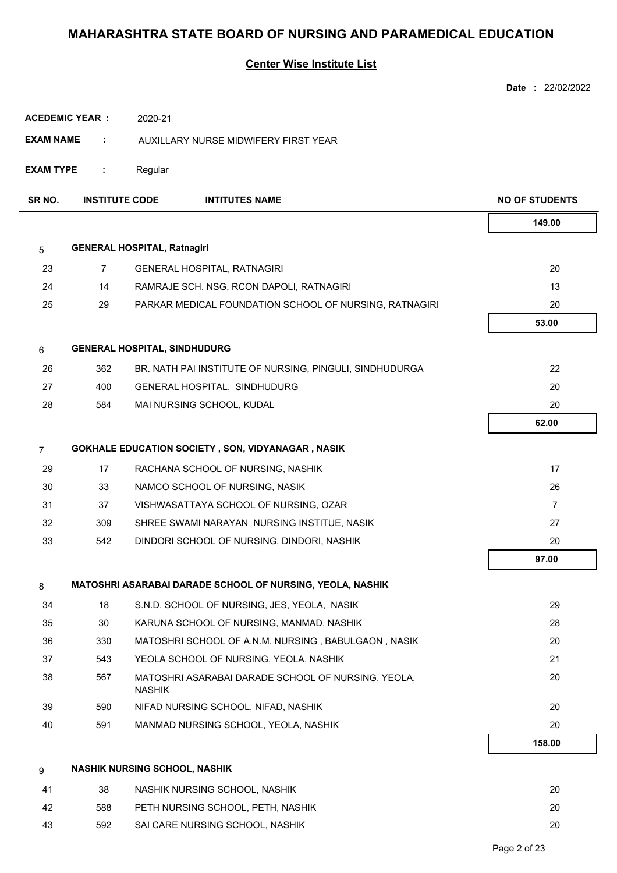|                  |                       |                                                                     | <b>Date: 22/02/2022</b> |
|------------------|-----------------------|---------------------------------------------------------------------|-------------------------|
|                  | <b>ACEDEMIC YEAR:</b> | 2020-21                                                             |                         |
| <b>EXAM NAME</b> | ÷                     | AUXILLARY NURSE MIDWIFERY FIRST YEAR                                |                         |
|                  |                       |                                                                     |                         |
| <b>EXAM TYPE</b> | ÷.                    | Regular                                                             |                         |
| SR NO.           | <b>INSTITUTE CODE</b> | <b>INTITUTES NAME</b>                                               | <b>NO OF STUDENTS</b>   |
|                  |                       |                                                                     | 149.00                  |
| 5                |                       | <b>GENERAL HOSPITAL, Ratnagiri</b>                                  |                         |
| 23               | 7                     | <b>GENERAL HOSPITAL, RATNAGIRI</b>                                  | 20                      |
| 24               | 14                    | RAMRAJE SCH. NSG, RCON DAPOLI, RATNAGIRI                            | 13                      |
| 25               | 29                    | PARKAR MEDICAL FOUNDATION SCHOOL OF NURSING, RATNAGIRI              | 20                      |
|                  |                       |                                                                     | 53.00                   |
| 6                |                       | <b>GENERAL HOSPITAL, SINDHUDURG</b>                                 |                         |
| 26               | 362                   | BR. NATH PAI INSTITUTE OF NURSING, PINGULI, SINDHUDURGA             | 22                      |
| 27               | 400                   | GENERAL HOSPITAL, SINDHUDURG                                        | 20                      |
| 28               | 584                   | MAI NURSING SCHOOL, KUDAL                                           | 20                      |
|                  |                       |                                                                     | 62.00                   |
| $\overline{7}$   |                       | <b>GOKHALE EDUCATION SOCIETY, SON, VIDYANAGAR, NASIK</b>            |                         |
| 29               | 17                    | RACHANA SCHOOL OF NURSING, NASHIK                                   | 17                      |
| 30               | 33                    | NAMCO SCHOOL OF NURSING, NASIK                                      | 26                      |
| 31               | 37                    | VISHWASATTAYA SCHOOL OF NURSING, OZAR                               | $\overline{7}$          |
| 32               | 309                   | SHREE SWAMI NARAYAN NURSING INSTITUE, NASIK                         | 27                      |
| 33               | 542                   | DINDORI SCHOOL OF NURSING, DINDORI, NASHIK                          | 20                      |
|                  |                       |                                                                     | 97.00                   |
| 8                |                       | MATOSHRI ASARABAI DARADE SCHOOL OF NURSING, YEOLA, NASHIK           |                         |
| 34               | 18                    | S.N.D. SCHOOL OF NURSING, JES, YEOLA, NASIK                         | 29                      |
| 35               | 30                    | KARUNA SCHOOL OF NURSING, MANMAD, NASHIK                            | 28                      |
| 36               | 330                   | MATOSHRI SCHOOL OF A.N.M. NURSING, BABULGAON, NASIK                 | 20                      |
| 37               | 543                   | YEOLA SCHOOL OF NURSING, YEOLA, NASHIK                              | 21                      |
| 38               | 567                   | MATOSHRI ASARABAI DARADE SCHOOL OF NURSING, YEOLA,<br><b>NASHIK</b> | 20                      |
| 39               | 590                   | NIFAD NURSING SCHOOL, NIFAD, NASHIK                                 | 20                      |
| 40               | 591                   | MANMAD NURSING SCHOOL, YEOLA, NASHIK                                | 20                      |
|                  |                       |                                                                     | 158.00                  |
| 9                |                       | <b>NASHIK NURSING SCHOOL, NASHIK</b>                                |                         |
| 41               | 38                    | NASHIK NURSING SCHOOL, NASHIK                                       | 20                      |
| 42               | 588                   | PETH NURSING SCHOOL, PETH, NASHIK                                   | 20                      |
| 43               | 592                   | SAI CARE NURSING SCHOOL, NASHIK                                     | 20                      |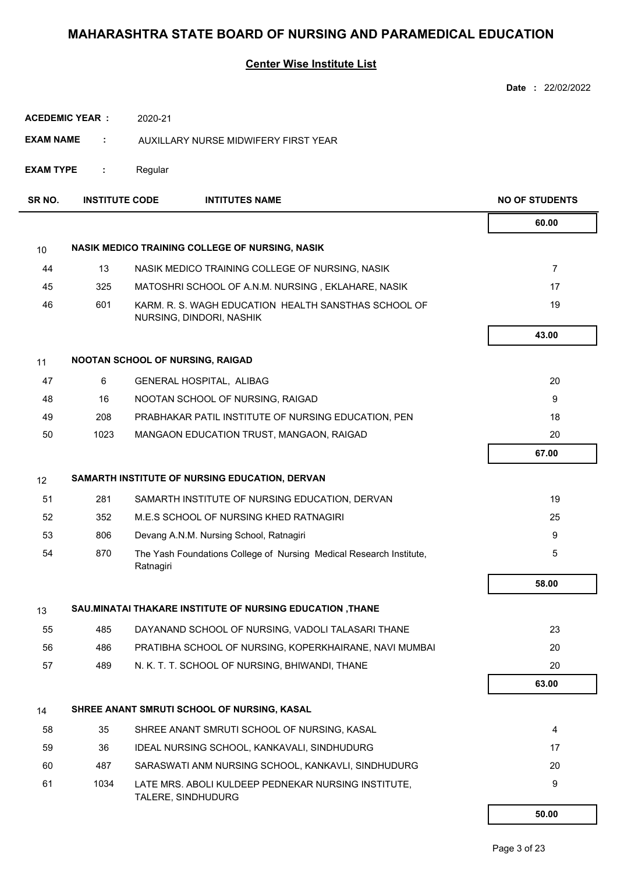|                  |                       |                                                                                  | Date: 22/02/2022      |
|------------------|-----------------------|----------------------------------------------------------------------------------|-----------------------|
|                  | <b>ACEDEMIC YEAR:</b> | 2020-21                                                                          |                       |
| <b>EXAM NAME</b> | ÷                     | AUXILLARY NURSE MIDWIFERY FIRST YEAR                                             |                       |
| <b>EXAM TYPE</b> | ÷                     | Regular                                                                          |                       |
| SR NO.           | <b>INSTITUTE CODE</b> | <b>INTITUTES NAME</b>                                                            | <b>NO OF STUDENTS</b> |
|                  |                       |                                                                                  | 60.00                 |
| 10               |                       | NASIK MEDICO TRAINING COLLEGE OF NURSING, NASIK                                  |                       |
| 44               | 13                    | NASIK MEDICO TRAINING COLLEGE OF NURSING, NASIK                                  | $\overline{7}$        |
| 45               | 325                   | MATOSHRI SCHOOL OF A.N.M. NURSING, EKLAHARE, NASIK                               | 17                    |
| 46               | 601                   | KARM. R. S. WAGH EDUCATION HEALTH SANSTHAS SCHOOL OF<br>NURSING, DINDORI, NASHIK | 19                    |
|                  |                       |                                                                                  | 43.00                 |
| 11               |                       | NOOTAN SCHOOL OF NURSING, RAIGAD                                                 |                       |
| 47               | 6                     | GENERAL HOSPITAL, ALIBAG                                                         | 20                    |
| 48               | 16                    | NOOTAN SCHOOL OF NURSING, RAIGAD                                                 | 9                     |
| 49               | 208                   | PRABHAKAR PATIL INSTITUTE OF NURSING EDUCATION, PEN                              | 18                    |
| 50               | 1023                  | MANGAON EDUCATION TRUST, MANGAON, RAIGAD                                         | 20                    |
|                  |                       |                                                                                  | 67.00                 |
| 12               |                       | SAMARTH INSTITUTE OF NURSING EDUCATION, DERVAN                                   |                       |
| 51               | 281                   | SAMARTH INSTITUTE OF NURSING EDUCATION, DERVAN                                   | 19                    |
| 52               | 352                   | M.E.S SCHOOL OF NURSING KHED RATNAGIRI                                           | 25                    |
| 53               | 806                   | Devang A.N.M. Nursing School, Ratnagiri                                          | 9                     |
| 54               | 870                   | The Yash Foundations College of Nursing Medical Research Institute,<br>Ratnagiri | 5                     |
|                  |                       |                                                                                  | 58.00                 |
| 13               |                       | SAU.MINATAI THAKARE INSTITUTE OF NURSING EDUCATION , THANE                       |                       |
| 55               | 485                   | DAYANAND SCHOOL OF NURSING, VADOLI TALASARI THANE                                | 23                    |
| 56               | 486                   | PRATIBHA SCHOOL OF NURSING, KOPERKHAIRANE, NAVI MUMBAI                           | 20                    |
| 57               | 489                   | N. K. T. T. SCHOOL OF NURSING, BHIWANDI, THANE                                   | 20                    |
|                  |                       |                                                                                  | 63.00                 |
| 14               |                       | SHREE ANANT SMRUTI SCHOOL OF NURSING, KASAL                                      |                       |
| 58               | 35                    | SHREE ANANT SMRUTI SCHOOL OF NURSING, KASAL                                      | 4                     |
| 59               | 36                    | IDEAL NURSING SCHOOL, KANKAVALI, SINDHUDURG                                      | 17                    |
| 60               | 487                   | SARASWATI ANM NURSING SCHOOL, KANKAVLI, SINDHUDURG                               | 20                    |
| 61               | 1034                  | LATE MRS. ABOLI KULDEEP PEDNEKAR NURSING INSTITUTE,<br>TALERE, SINDHUDURG        | 9                     |
|                  |                       |                                                                                  | 50.00                 |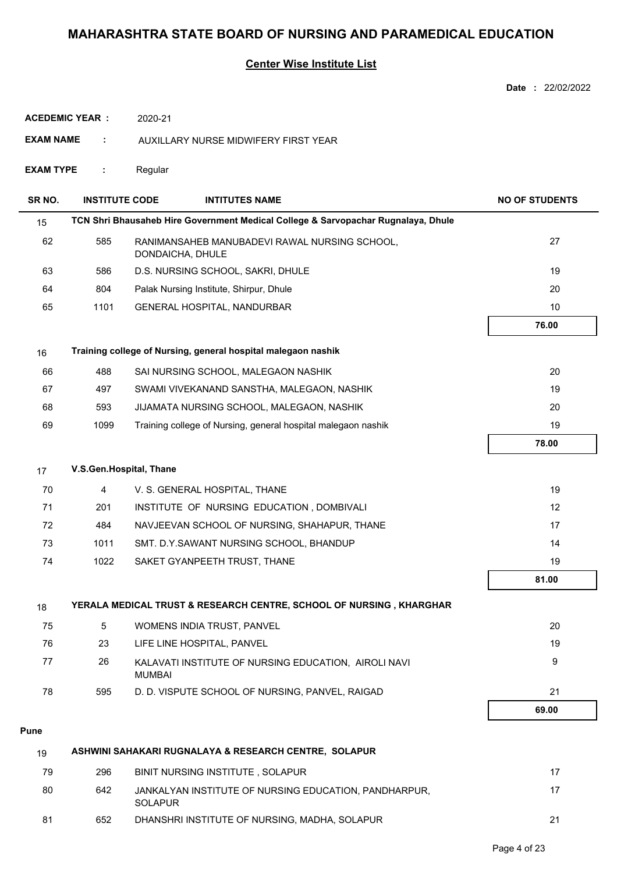## **Center Wise Institute List**

|                       |                       |                                                                                   | <b>Date: 22/02/2022</b> |
|-----------------------|-----------------------|-----------------------------------------------------------------------------------|-------------------------|
|                       | <b>ACEDEMIC YEAR:</b> | 2020-21                                                                           |                         |
| <b>EXAM NAME</b><br>÷ |                       | AUXILLARY NURSE MIDWIFERY FIRST YEAR                                              |                         |
| <b>EXAM TYPE</b>      | ÷                     | Regular                                                                           |                         |
| SR <sub>NO</sub> .    | <b>INSTITUTE CODE</b> | <b>INTITUTES NAME</b>                                                             | <b>NO OF STUDENTS</b>   |
| 15                    |                       | TCN Shri Bhausaheb Hire Government Medical College & Sarvopachar Rugnalaya, Dhule |                         |
| 62                    | 585                   | RANIMANSAHEB MANUBADEVI RAWAL NURSING SCHOOL,<br>DONDAICHA, DHULE                 | 27                      |
| 63                    | 586                   | D.S. NURSING SCHOOL, SAKRI, DHULE                                                 | 19                      |
| 64                    | 804                   | Palak Nursing Institute, Shirpur, Dhule                                           | 20                      |
| 65                    | 1101                  | GENERAL HOSPITAL, NANDURBAR                                                       | 10                      |
|                       |                       |                                                                                   | 76.00                   |
| 16                    |                       | Training college of Nursing, general hospital malegaon nashik                     |                         |
| 66                    | 488                   | SAI NURSING SCHOOL, MALEGAON NASHIK                                               | 20                      |
| 67                    | 497                   | SWAMI VIVEKANAND SANSTHA, MALEGAON, NASHIK                                        | 19                      |
| 68                    | 593                   | JIJAMATA NURSING SCHOOL, MALEGAON, NASHIK                                         | 20                      |
| 69                    | 1099                  | Training college of Nursing, general hospital malegaon nashik                     | 19                      |
|                       |                       |                                                                                   | 78.00                   |
| 17                    |                       | V.S.Gen.Hospital, Thane                                                           |                         |
| 70                    | 4                     | V. S. GENERAL HOSPITAL, THANE                                                     | 19                      |
| 71                    | 201                   | INSTITUTE OF NURSING EDUCATION, DOMBIVALI                                         | 12                      |
| 72                    | 484                   | NAVJEEVAN SCHOOL OF NURSING, SHAHAPUR, THANE                                      | 17                      |
| 73                    | 1011                  | SMT. D.Y.SAWANT NURSING SCHOOL, BHANDUP                                           | 14                      |
| 74                    | 1022                  | SAKET GYANPEETH TRUST, THANE                                                      | 19                      |
|                       |                       |                                                                                   | 81.00                   |
| 18                    |                       | YERALA MEDICAL TRUST & RESEARCH CENTRE, SCHOOL OF NURSING, KHARGHAR               |                         |
| 75                    | 5                     | WOMENS INDIA TRUST, PANVEL                                                        | 20                      |
| 76                    | 23                    | LIFE LINE HOSPITAL, PANVEL                                                        | 19                      |
| 77                    | 26                    | KALAVATI INSTITUTE OF NURSING EDUCATION, AIROLI NAVI<br><b>MUMBAI</b>             | 9                       |
| 78                    | 595                   | D. D. VISPUTE SCHOOL OF NURSING, PANVEL, RAIGAD                                   | 21                      |
|                       |                       |                                                                                   | 69.00                   |
| <b>Pune</b>           |                       |                                                                                   |                         |
| 19                    |                       | ASHWINI SAHAKARI RUGNALAYA & RESEARCH CENTRE, SOLAPUR                             |                         |
| 79                    | 296                   | BINIT NURSING INSTITUTE, SOLAPUR                                                  | 17                      |
| 80                    | 642                   | JANKALYAN INSTITUTE OF NURSING EDUCATION, PANDHARPUR,<br><b>SOLAPUR</b>           | 17                      |

81 652 DHANSHRI INSTITUTE OF NURSING, MADHA, SOLAPUR 652

Page 4 of 23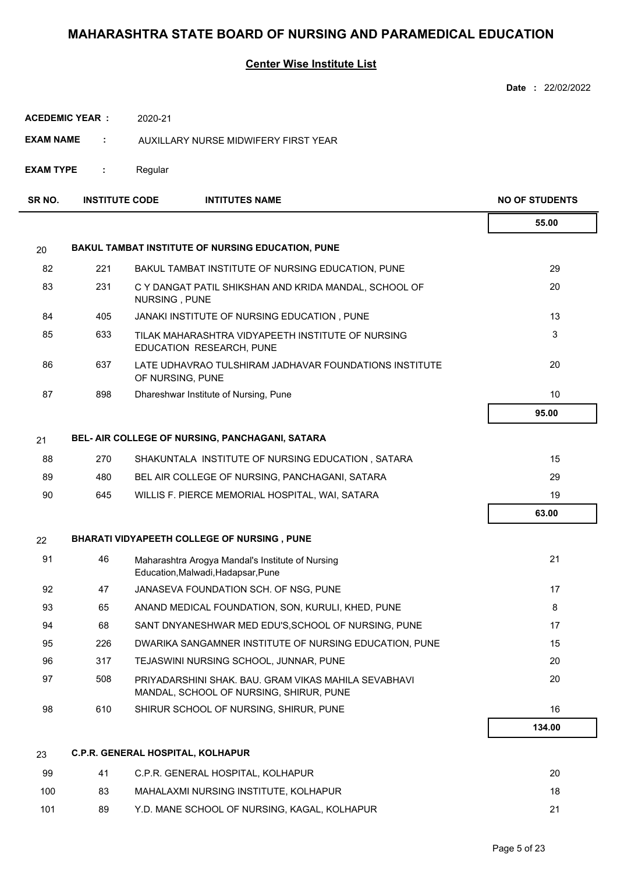|                  |                       |                                                                                                 | <b>Date: 22/02/2022</b> |
|------------------|-----------------------|-------------------------------------------------------------------------------------------------|-------------------------|
|                  | <b>ACEDEMIC YEAR:</b> | 2020-21                                                                                         |                         |
| <b>EXAM NAME</b> | ÷.                    | AUXILLARY NURSE MIDWIFERY FIRST YEAR                                                            |                         |
| <b>EXAM TYPE</b> | ÷.                    | Regular                                                                                         |                         |
| SR NO.           | <b>INSTITUTE CODE</b> | <b>INTITUTES NAME</b>                                                                           | <b>NO OF STUDENTS</b>   |
|                  |                       |                                                                                                 |                         |
|                  |                       |                                                                                                 | 55.00                   |
| 20               |                       | BAKUL TAMBAT INSTITUTE OF NURSING EDUCATION, PUNE                                               |                         |
| 82               | 221                   | BAKUL TAMBAT INSTITUTE OF NURSING EDUCATION, PUNE                                               | 29                      |
| 83               | 231                   | C Y DANGAT PATIL SHIKSHAN AND KRIDA MANDAL, SCHOOL OF<br>NURSING, PUNE                          | 20                      |
| 84               | 405                   | JANAKI INSTITUTE OF NURSING EDUCATION, PUNE                                                     | 13                      |
| 85               | 633                   | TILAK MAHARASHTRA VIDYAPEETH INSTITUTE OF NURSING<br>EDUCATION RESEARCH, PUNE                   | 3                       |
| 86               | 637                   | LATE UDHAVRAO TULSHIRAM JADHAVAR FOUNDATIONS INSTITUTE<br>OF NURSING, PUNE                      | 20                      |
| 87               | 898                   | Dhareshwar Institute of Nursing, Pune                                                           | 10                      |
|                  |                       |                                                                                                 | 95.00                   |
| 21               |                       | BEL- AIR COLLEGE OF NURSING, PANCHAGANI, SATARA                                                 |                         |
| 88               | 270                   | SHAKUNTALA INSTITUTE OF NURSING EDUCATION, SATARA                                               | 15                      |
| 89               | 480                   | BEL AIR COLLEGE OF NURSING, PANCHAGANI, SATARA                                                  | 29                      |
| 90               | 645                   | WILLIS F. PIERCE MEMORIAL HOSPITAL, WAI, SATARA                                                 | 19                      |
|                  |                       |                                                                                                 | 63.00                   |
| 22               |                       | <b>BHARATI VIDYAPEETH COLLEGE OF NURSING, PUNE</b>                                              |                         |
| 91               | 46                    | Maharashtra Arogya Mandal's Institute of Nursing<br>Education, Malwadi, Hadapsar, Pune          | 21                      |
| 92               | 47                    | JANASEVA FOUNDATION SCH. OF NSG, PUNE                                                           | 17                      |
| 93               | 65                    | ANAND MEDICAL FOUNDATION, SON, KURULI, KHED, PUNE                                               | 8                       |
| 94               | 68                    | SANT DNYANESHWAR MED EDU'S, SCHOOL OF NURSING, PUNE                                             | 17                      |
| 95               | 226                   | DWARIKA SANGAMNER INSTITUTE OF NURSING EDUCATION, PUNE                                          | 15                      |
| 96               | 317                   | TEJASWINI NURSING SCHOOL, JUNNAR, PUNE                                                          | 20                      |
| 97               | 508                   | PRIYADARSHINI SHAK. BAU, GRAM VIKAS MAHILA SEVABHAVI<br>MANDAL, SCHOOL OF NURSING, SHIRUR, PUNE | 20                      |
| 98               | 610                   | SHIRUR SCHOOL OF NURSING, SHIRUR, PUNE                                                          | 16                      |
|                  |                       |                                                                                                 | 134.00                  |
| 23               |                       | C.P.R. GENERAL HOSPITAL, KOLHAPUR                                                               |                         |
| 99               | 41                    | C.P.R. GENERAL HOSPITAL, KOLHAPUR                                                               | 20                      |

| --  |    |                                              | -- |
|-----|----|----------------------------------------------|----|
| 100 | 83 | MAHALAXMI NURSING INSTITUTE, KOLHAPUR        | 18 |
| 101 | 89 | Y.D. MANE SCHOOL OF NURSING. KAGAL. KOLHAPUR |    |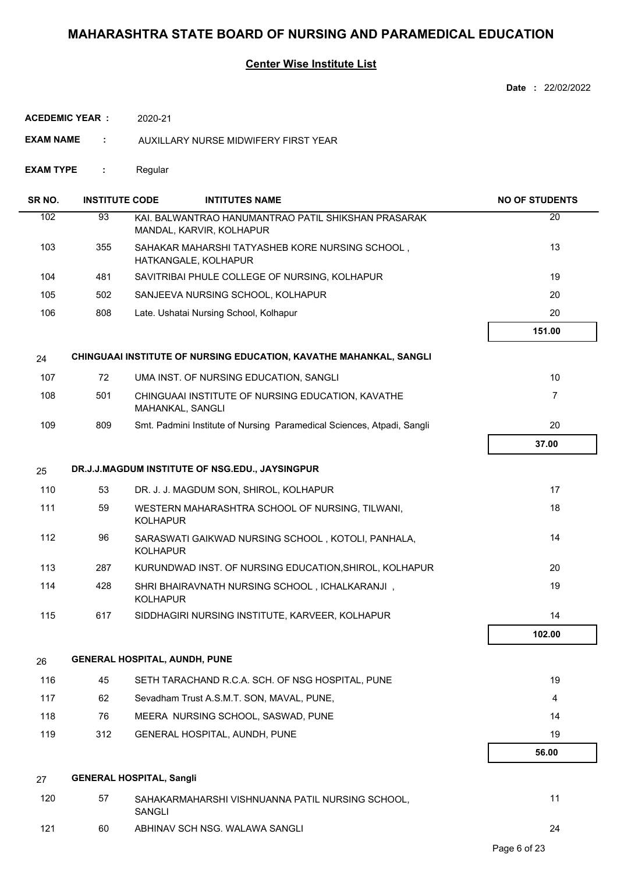## **Center Wise Institute List**

| <b>ACEDEMIC YEAR :</b> |                       | 2020-21                                                                         |                       |
|------------------------|-----------------------|---------------------------------------------------------------------------------|-----------------------|
| <b>EXAM NAME</b>       | ÷                     | AUXILLARY NURSE MIDWIFERY FIRST YEAR                                            |                       |
| EXAM TYPE              | ÷                     | Regular                                                                         |                       |
| SR <sub>NO</sub> .     | <b>INSTITUTE CODE</b> | <b>INTITUTES NAME</b>                                                           | <b>NO OF STUDENTS</b> |
| 102                    | 93                    | KAI. BALWANTRAO HANUMANTRAO PATIL SHIKSHAN PRASARAK<br>MANDAL, KARVIR, KOLHAPUR | 20                    |
| 103                    | 355                   | SAHAKAR MAHARSHI TATYASHEB KORE NURSING SCHOOL,<br>HATKANGALE, KOLHAPUR         | 13                    |
| 104                    | 481                   | SAVITRIBAI PHULE COLLEGE OF NURSING, KOLHAPUR                                   | 19                    |
| 105                    | 502                   | SANJEEVA NURSING SCHOOL, KOLHAPUR                                               | 20                    |
| 106                    | 808                   | Late. Ushatai Nursing School, Kolhapur                                          | 20                    |
|                        |                       |                                                                                 | 151.00                |
| 24                     |                       | CHINGUAAI INSTITUTE OF NURSING EDUCATION, KAVATHE MAHANKAL, SANGLI              |                       |
| 107                    | 72                    | UMA INST. OF NURSING EDUCATION, SANGLI                                          | 10 <sup>°</sup>       |
| 108                    | 501                   | CHINGUAAI INSTITUTE OF NURSING EDUCATION, KAVATHE<br>MAHANKAL, SANGLI           | $\overline{7}$        |
| 109                    | 809                   | Smt. Padmini Institute of Nursing Paramedical Sciences, Atpadi, Sangli          | 20                    |
|                        |                       |                                                                                 | 37.00                 |
| 25                     |                       | DR.J.J.MAGDUM INSTITUTE OF NSG.EDU., JAYSINGPUR                                 |                       |
| 110                    | 53                    | DR. J. J. MAGDUM SON, SHIROL, KOLHAPUR                                          | 17                    |
| 111                    | 59                    | WESTERN MAHARASHTRA SCHOOL OF NURSING, TILWANI,<br><b>KOLHAPUR</b>              | 18                    |
| 112                    | 96                    | SARASWATI GAIKWAD NURSING SCHOOL, KOTOLI, PANHALA,<br><b>KOLHAPUR</b>           | 14                    |
| 113                    | 287                   | KURUNDWAD INST. OF NURSING EDUCATION, SHIROL, KOLHAPUR                          | 20                    |
| 114                    | 428                   | SHRI BHAIRAVNATH NURSING SCHOOL, ICHALKARANJI,<br><b>KOLHAPUR</b>               | 19                    |
| 115                    | 617                   | SIDDHAGIRI NURSING INSTITUTE, KARVEER, KOLHAPUR                                 | 14                    |
|                        |                       |                                                                                 | 102.00                |
| 26                     |                       | <b>GENERAL HOSPITAL, AUNDH, PUNE</b>                                            |                       |
| 116                    | 45                    | SETH TARACHAND R.C.A. SCH. OF NSG HOSPITAL, PUNE                                | 19                    |
| 117                    | 62                    | Sevadham Trust A.S.M.T. SON, MAVAL, PUNE,                                       | $\overline{4}$        |
| 118                    | 76                    | MEERA NURSING SCHOOL, SASWAD, PUNE                                              | 14                    |
| 119                    | 312                   | GENERAL HOSPITAL, AUNDH, PUNE                                                   | 19                    |
|                        |                       |                                                                                 | 56.00                 |
| 27                     |                       | <b>GENERAL HOSPITAL, Sangli</b>                                                 |                       |
| 120                    | 57                    | SAHAKARMAHARSHI VISHNUANNA PATIL NURSING SCHOOL,<br>SANGLI                      | 11                    |

121 60 ABHINAV SCH NSG. WALAWA SANGLI 24

**Date :** 22/02/2022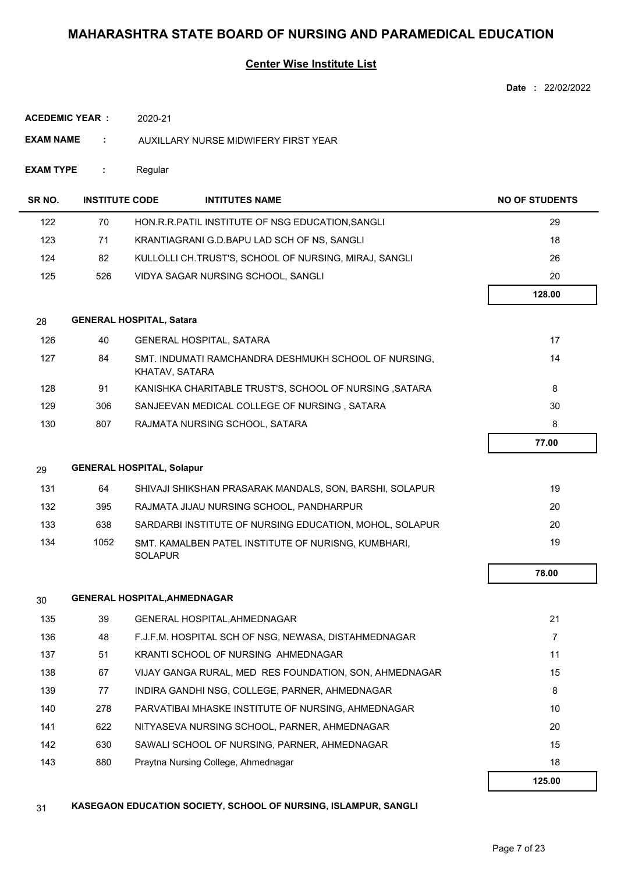### **Center Wise Institute List**

| Date | 22/02/2022 |
|------|------------|
|      |            |

|  | <b>ACEDEMIC YEAR :</b> | 2020-21 |
|--|------------------------|---------|
|--|------------------------|---------|

- **EXAM NAME :** AUXILLARY NURSE MIDWIFERY FIRST YEAR
- **EXAM TYPE :** Regular

| SR NO. | <b>INSTITUTE CODE</b> | <b>INTITUTES NAME</b>                                                  | <b>NO OF STUDENTS</b> |
|--------|-----------------------|------------------------------------------------------------------------|-----------------------|
| 122    | 70                    | HON.R.R.PATIL INSTITUTE OF NSG EDUCATION, SANGLI                       | 29                    |
| 123    | 71                    | KRANTIAGRANI G.D.BAPU LAD SCH OF NS, SANGLI                            | 18                    |
| 124    | 82                    | KULLOLLI CH.TRUST'S, SCHOOL OF NURSING, MIRAJ, SANGLI                  | 26                    |
| 125    | 526                   | VIDYA SAGAR NURSING SCHOOL, SANGLI                                     | 20                    |
|        |                       |                                                                        | 128.00                |
| 28     |                       | <b>GENERAL HOSPITAL, Satara</b>                                        |                       |
| 126    | 40                    | <b>GENERAL HOSPITAL, SATARA</b>                                        | 17                    |
| 127    | 84                    | SMT. INDUMATI RAMCHANDRA DESHMUKH SCHOOL OF NURSING.<br>KHATAV, SATARA | 14                    |
| 128    | 91                    | KANISHKA CHARITABLE TRUST'S, SCHOOL OF NURSING, SATARA                 | 8                     |
| 129    | 306                   | SANJEEVAN MEDICAL COLLEGE OF NURSING, SATARA                           | 30                    |
| 130    | 807                   | RAJMATA NURSING SCHOOL, SATARA                                         | 8                     |
|        |                       |                                                                        | 77.00                 |
| 29     |                       | <b>GENERAL HOSPITAL, Solapur</b>                                       |                       |

| 131 | 64   | SHIVAJI SHIKSHAN PRASARAK MANDALS. SON. BARSHI, SOLAPUR               | 19 |
|-----|------|-----------------------------------------------------------------------|----|
| 132 | 395  | RAJMATA JIJAU NURSING SCHOOL. PANDHARPUR                              | 20 |
| 133 | 638  | SARDARBI INSTITUTE OF NURSING EDUCATION, MOHOL, SOLAPUR               | 20 |
| 134 | 1052 | SMT. KAMALBEN PATEL INSTITUTE OF NURISNG, KUMBHARI,<br><b>SOLAPUR</b> | 19 |

| 30  |     | <b>GENERAL HOSPITAL, AHMEDNAGAR</b>                    |        |
|-----|-----|--------------------------------------------------------|--------|
| 135 | 39  | <b>GENERAL HOSPITAL, AHMEDNAGAR</b>                    | 21     |
| 136 | 48  | F.J.F.M. HOSPITAL SCH OF NSG. NEWASA. DISTAHMEDNAGAR   | 7      |
| 137 | 51  | KRANTI SCHOOL OF NURSING AHMEDNAGAR                    | 11     |
| 138 | 67  | VIJAY GANGA RURAL, MED RES FOUNDATION, SON, AHMEDNAGAR | 15     |
| 139 | 77  | INDIRA GANDHI NSG, COLLEGE, PARNER, AHMEDNAGAR         | 8      |
| 140 | 278 | PARVATIBAI MHASKE INSTITUTE OF NURSING, AHMEDNAGAR     | 10     |
| 141 | 622 | NITYASEVA NURSING SCHOOL, PARNER, AHMEDNAGAR           | 20     |
| 142 | 630 | SAWALI SCHOOL OF NURSING, PARNER, AHMEDNAGAR           | 15     |
| 143 | 880 | Praytna Nursing College, Ahmednagar                    | 18     |
|     |     |                                                        | 125.00 |

31 **KASEGAON EDUCATION SOCIETY, SCHOOL OF NURSING, ISLAMPUR, SANGLI**

 **78.00**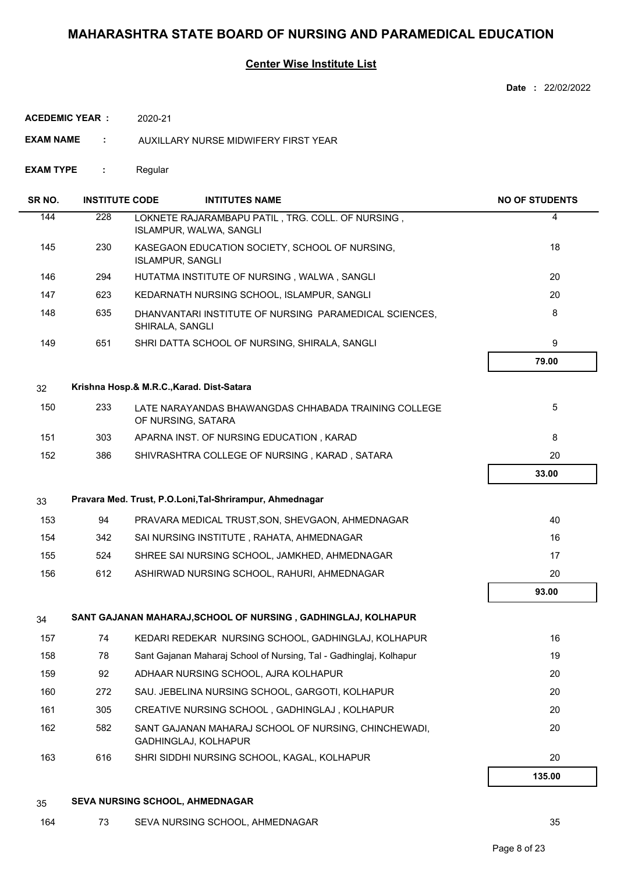### **Center Wise Institute List**

**Date :** 22/02/2022

| ACEDEMIC YEAR : | 2020-21 |
|-----------------|---------|
|                 |         |

- **EXAM NAME :** AUXILLARY NURSE MIDWIFERY FIRST YEAR
- **EXAM TYPE :** Regular

| SR NO. | <b>INSTITUTE CODE</b> | <b>INTITUTES NAME</b>                                                               | <b>NO OF STUDENTS</b> |
|--------|-----------------------|-------------------------------------------------------------------------------------|-----------------------|
| 144    | 228                   | LOKNETE RAJARAMBAPU PATIL, TRG. COLL. OF NURSING,<br><b>ISLAMPUR, WALWA, SANGLI</b> | 4                     |
| 145    | 230                   | KASEGAON EDUCATION SOCIETY, SCHOOL OF NURSING,<br><b>ISLAMPUR, SANGLI</b>           | 18                    |
| 146    | 294                   | HUTATMA INSTITUTE OF NURSING, WALWA, SANGLI                                         | 20                    |
| 147    | 623                   | KEDARNATH NURSING SCHOOL, ISLAMPUR, SANGLI                                          | 20                    |
| 148    | 635                   | DHANVANTARI INSTITUTE OF NURSING PARAMEDICAL SCIENCES,<br>SHIRALA, SANGLI           | 8                     |
| 149    | 651                   | SHRI DATTA SCHOOL OF NURSING, SHIRALA, SANGLI                                       | 9                     |
|        |                       |                                                                                     | 79.00                 |
| 32     |                       | Krishna Hosp.& M.R.C., Karad. Dist-Satara                                           |                       |
| 150    | 233                   | LATE NARAYANDAS BHAWANGDAS CHHABADA TRAINING COLLEGE<br>OF NURSING, SATARA          | 5                     |
| 151    | 303                   | APARNA INST. OF NURSING EDUCATION, KARAD                                            | 8                     |
| 152    | 386                   | SHIVRASHTRA COLLEGE OF NURSING, KARAD, SATARA                                       | 20                    |
|        |                       |                                                                                     | 33.00                 |
| 33     |                       | Pravara Med. Trust, P.O.Loni, Tal-Shrirampur, Ahmednagar                            |                       |
| 153    | 94                    | PRAVARA MEDICAL TRUST, SON, SHEVGAON, AHMEDNAGAR                                    | 40                    |
| 154    | 342                   | SAI NURSING INSTITUTE, RAHATA, AHMEDNAGAR                                           | 16                    |
| 155    | 524                   | SHREE SAI NURSING SCHOOL, JAMKHED, AHMEDNAGAR                                       | 17                    |
| 156    | 612                   | ASHIRWAD NURSING SCHOOL, RAHURI, AHMEDNAGAR                                         | 20                    |
|        |                       |                                                                                     | 93.00                 |
| 34     |                       | SANT GAJANAN MAHARAJ, SCHOOL OF NURSING, GADHINGLAJ, KOLHAPUR                       |                       |
| 157    | 74                    | KEDARI REDEKAR NURSING SCHOOL, GADHINGLAJ, KOLHAPUR                                 | 16                    |
| 158    | 78                    | Sant Gajanan Maharaj School of Nursing, Tal - Gadhinglaj, Kolhapur                  | 19                    |
| 159    | 92                    | ADHAAR NURSING SCHOOL, AJRA KOLHAPUR                                                | 20                    |
| 160    | 272                   | SAU. JEBELINA NURSING SCHOOL, GARGOTI, KOLHAPUR                                     | 20                    |
| 161    | 305                   | CREATIVE NURSING SCHOOL, GADHINGLAJ, KOLHAPUR                                       | 20                    |
| 162    | 582                   | SANT GAJANAN MAHARAJ SCHOOL OF NURSING, CHINCHEWADI,<br>GADHINGLAJ, KOLHAPUR        | 20                    |
| 163    | 616                   | SHRI SIDDHI NURSING SCHOOL, KAGAL, KOLHAPUR                                         | 20                    |
|        |                       |                                                                                     | 135.00                |

#### 35 **SEVA NURSING SCHOOL, AHMEDNAGAR**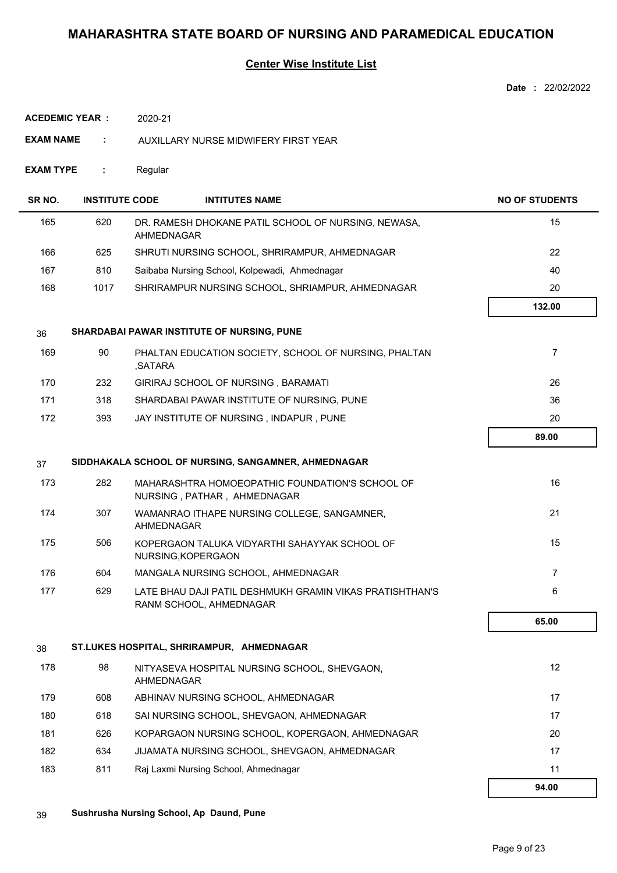|                  |                       |                                                                                     | Date: 22/02/2022      |
|------------------|-----------------------|-------------------------------------------------------------------------------------|-----------------------|
|                  | <b>ACEDEMIC YEAR:</b> | 2020-21                                                                             |                       |
| <b>EXAM NAME</b> | ÷                     | AUXILLARY NURSE MIDWIFERY FIRST YEAR                                                |                       |
| <b>EXAM TYPE</b> | ÷                     | Regular                                                                             |                       |
| SR NO.           | <b>INSTITUTE CODE</b> | <b>INTITUTES NAME</b>                                                               | <b>NO OF STUDENTS</b> |
| 165              | 620                   | DR. RAMESH DHOKANE PATIL SCHOOL OF NURSING, NEWASA,<br><b>AHMEDNAGAR</b>            | 15                    |
| 166              | 625                   | SHRUTI NURSING SCHOOL, SHRIRAMPUR, AHMEDNAGAR                                       | 22                    |
| 167              | 810                   | Saibaba Nursing School, Kolpewadi, Ahmednagar                                       | 40                    |
| 168              | 1017                  | SHRIRAMPUR NURSING SCHOOL, SHRIAMPUR, AHMEDNAGAR                                    | 20                    |
|                  |                       |                                                                                     | 132.00                |
| 36               |                       | SHARDABAI PAWAR INSTITUTE OF NURSING, PUNE                                          |                       |
| 169              | 90                    | PHALTAN EDUCATION SOCIETY, SCHOOL OF NURSING, PHALTAN<br>,SATARA                    | 7                     |
| 170              | 232                   | GIRIRAJ SCHOOL OF NURSING, BARAMATI                                                 | 26                    |
| 171              | 318                   | SHARDABAI PAWAR INSTITUTE OF NURSING, PUNE                                          | 36                    |
| 172              | 393                   | JAY INSTITUTE OF NURSING, INDAPUR, PUNE                                             | 20                    |
|                  |                       |                                                                                     | 89.00                 |
| 37               |                       | SIDDHAKALA SCHOOL OF NURSING, SANGAMNER, AHMEDNAGAR                                 |                       |
| 173              | 282                   | MAHARASHTRA HOMOEOPATHIC FOUNDATION'S SCHOOL OF<br>NURSING, PATHAR, AHMEDNAGAR      | 16                    |
| 174              | 307                   | WAMANRAO ITHAPE NURSING COLLEGE, SANGAMNER,<br>AHMEDNAGAR                           | 21                    |
| 175              | 506                   | KOPERGAON TALUKA VIDYARTHI SAHAYYAK SCHOOL OF<br>NURSING, KOPERGAON                 | 15                    |
| 176              | 604                   | MANGALA NURSING SCHOOL, AHMEDNAGAR                                                  | $\overline{7}$        |
| 177              | 629                   | LATE BHAU DAJI PATIL DESHMUKH GRAMIN VIKAS PRATISHTHAN'S<br>RANM SCHOOL, AHMEDNAGAR | 6                     |
|                  |                       |                                                                                     | 65.00                 |
| 38               |                       | ST.LUKES HOSPITAL, SHRIRAMPUR, AHMEDNAGAR                                           |                       |
| 178              | 98                    | NITYASEVA HOSPITAL NURSING SCHOOL, SHEVGAON,<br>AHMEDNAGAR                          | 12                    |
| 179              | 608                   | ABHINAV NURSING SCHOOL, AHMEDNAGAR                                                  | 17                    |
| 180              | 618                   | SAI NURSING SCHOOL, SHEVGAON, AHMEDNAGAR                                            | 17                    |
| 181              | 626                   | KOPARGAON NURSING SCHOOL, KOPERGAON, AHMEDNAGAR                                     | 20                    |
| 182              | 634                   | JIJAMATA NURSING SCHOOL, SHEVGAON, AHMEDNAGAR                                       | 17                    |
| 183              | 811                   | Raj Laxmi Nursing School, Ahmednagar                                                | 11                    |
|                  |                       |                                                                                     | 94.00                 |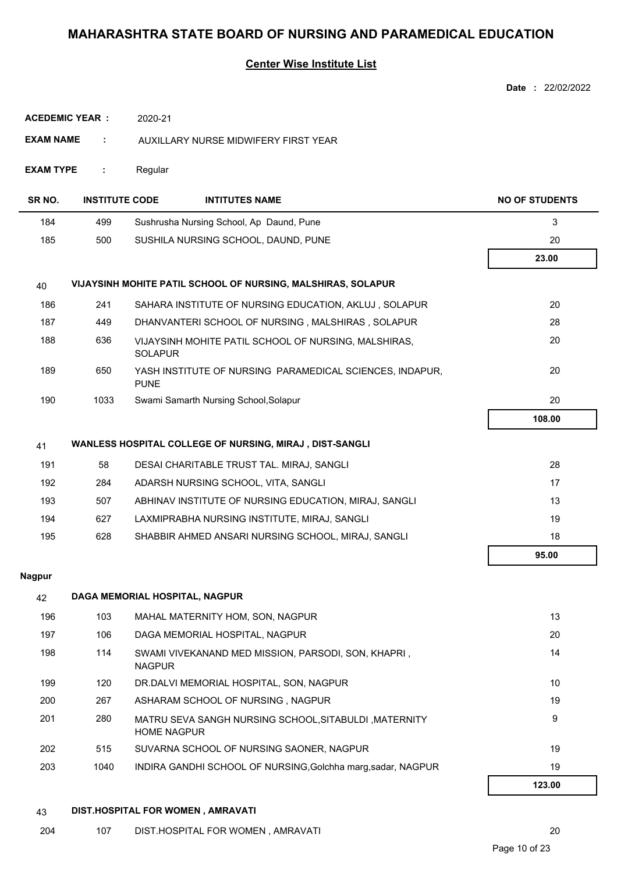### **Center Wise Institute List**

|                       |                       |                                                                             | <b>Date: 22/02/2022</b> |
|-----------------------|-----------------------|-----------------------------------------------------------------------------|-------------------------|
| <b>ACEDEMIC YEAR:</b> |                       | 2020-21                                                                     |                         |
| <b>EXAM NAME</b>      | ÷                     | AUXILLARY NURSE MIDWIFERY FIRST YEAR                                        |                         |
| <b>EXAM TYPE</b>      | ÷                     | Regular                                                                     |                         |
| SR NO.                | <b>INSTITUTE CODE</b> | <b>INTITUTES NAME</b>                                                       | <b>NO OF STUDENTS</b>   |
| 184                   | 499                   | Sushrusha Nursing School, Ap Daund, Pune                                    | $\mathbf{3}$            |
| 185                   | 500                   | SUSHILA NURSING SCHOOL, DAUND, PUNE                                         | 20                      |
|                       |                       |                                                                             | 23.00                   |
| 40                    |                       | VIJAYSINH MOHITE PATIL SCHOOL OF NURSING, MALSHIRAS, SOLAPUR                |                         |
| 186                   | 241                   | SAHARA INSTITUTE OF NURSING EDUCATION, AKLUJ, SOLAPUR                       | 20                      |
| 187                   | 449                   | DHANVANTERI SCHOOL OF NURSING, MALSHIRAS, SOLAPUR                           | 28                      |
| 188                   | 636                   | VIJAYSINH MOHITE PATIL SCHOOL OF NURSING, MALSHIRAS,<br><b>SOLAPUR</b>      | 20                      |
| 189                   | 650                   | YASH INSTITUTE OF NURSING PARAMEDICAL SCIENCES, INDAPUR,<br><b>PUNE</b>     | 20                      |
| 190                   | 1033                  | Swami Samarth Nursing School, Solapur                                       | 20                      |
|                       |                       |                                                                             | 108.00                  |
| 41                    |                       | WANLESS HOSPITAL COLLEGE OF NURSING, MIRAJ, DIST-SANGLI                     |                         |
| 191                   | 58                    | DESAI CHARITABLE TRUST TAL. MIRAJ, SANGLI                                   | 28                      |
| 192                   | 284                   | ADARSH NURSING SCHOOL, VITA, SANGLI                                         | 17                      |
| 193                   | 507                   | ABHINAV INSTITUTE OF NURSING EDUCATION, MIRAJ, SANGLI                       | 13                      |
| 194                   | 627                   | LAXMIPRABHA NURSING INSTITUTE, MIRAJ, SANGLI                                | 19                      |
| 195                   | 628                   | SHABBIR AHMED ANSARI NURSING SCHOOL, MIRAJ, SANGLI                          | 18                      |
|                       |                       |                                                                             | 95.00                   |
| <b>Nagpur</b>         |                       |                                                                             |                         |
| 42                    |                       | DAGA MEMORIAL HOSPITAL, NAGPUR                                              |                         |
| 196                   | 103                   | MAHAL MATERNITY HOM, SON, NAGPUR                                            | 13                      |
| 197                   | 106                   | DAGA MEMORIAL HOSPITAL, NAGPUR                                              | 20                      |
| 198                   | 114                   | SWAMI VIVEKANAND MED MISSION, PARSODI, SON, KHAPRI,<br><b>NAGPUR</b>        | 14                      |
| 199                   | 120                   | DR.DALVI MEMORIAL HOSPITAL, SON, NAGPUR                                     | 10                      |
| 200                   | 267                   | ASHARAM SCHOOL OF NURSING, NAGPUR                                           | 19                      |
| 201                   | 280                   | MATRU SEVA SANGH NURSING SCHOOL, SITABULDI, MATERNITY<br><b>HOME NAGPUR</b> | 9                       |
| 202                   | 515                   | SUVARNA SCHOOL OF NURSING SAONER, NAGPUR                                    | 19                      |
| 203                   | 1040                  | INDIRA GANDHI SCHOOL OF NURSING, Golchha marg, sadar, NAGPUR                | 19                      |
|                       |                       |                                                                             | 123.00                  |

## 43 **DIST.HOSPITAL FOR WOMEN , AMRAVATI**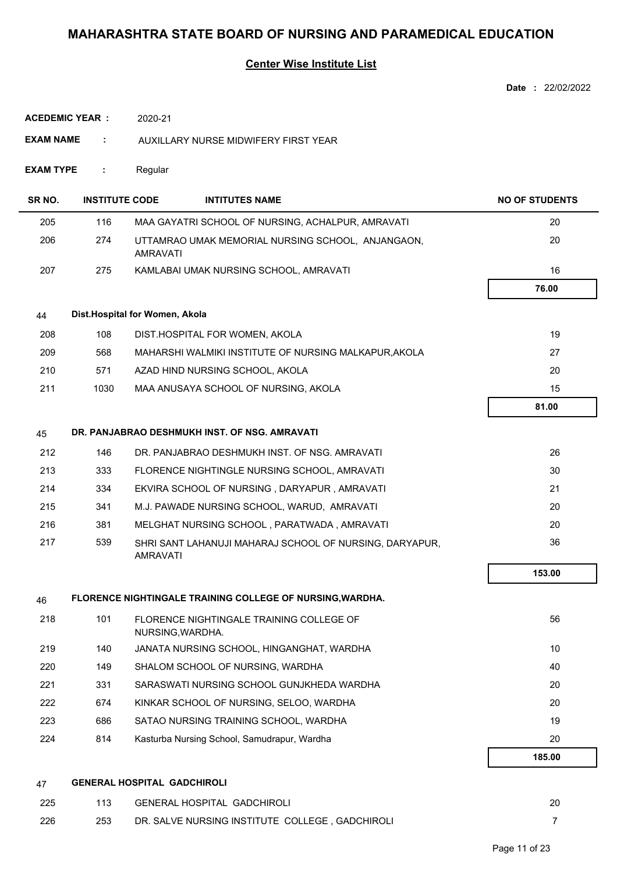|                        |                       |                                    |                                                           | Date: 22/02/2022      |
|------------------------|-----------------------|------------------------------------|-----------------------------------------------------------|-----------------------|
| <b>ACEDEMIC YEAR :</b> |                       | 2020-21                            |                                                           |                       |
| <b>EXAM NAME</b>       | ÷                     |                                    | AUXILLARY NURSE MIDWIFERY FIRST YEAR                      |                       |
| <b>EXAM TYPE</b>       | ÷                     | Regular                            |                                                           |                       |
| SR <sub>NO.</sub>      | <b>INSTITUTE CODE</b> |                                    | <b>INTITUTES NAME</b>                                     | <b>NO OF STUDENTS</b> |
| 205                    | 116                   |                                    | MAA GAYATRI SCHOOL OF NURSING, ACHALPUR, AMRAVATI         | 20                    |
| 206                    | 274                   | <b>AMRAVATI</b>                    | UTTAMRAO UMAK MEMORIAL NURSING SCHOOL, ANJANGAON,         | 20                    |
| 207                    | 275                   |                                    | KAMLABAI UMAK NURSING SCHOOL, AMRAVATI                    | 16                    |
|                        |                       |                                    |                                                           | 76.00                 |
| 44                     |                       | Dist.Hospital for Women, Akola     |                                                           |                       |
| 208                    | 108                   |                                    | DIST.HOSPITAL FOR WOMEN, AKOLA                            | 19                    |
| 209                    | 568                   |                                    | MAHARSHI WALMIKI INSTITUTE OF NURSING MALKAPUR, AKOLA     | 27                    |
| 210                    | 571                   |                                    | AZAD HIND NURSING SCHOOL, AKOLA                           | 20                    |
| 211                    | 1030                  |                                    | MAA ANUSAYA SCHOOL OF NURSING, AKOLA                      | 15                    |
|                        |                       |                                    |                                                           | 81.00                 |
| 45                     |                       |                                    | DR. PANJABRAO DESHMUKH INST. OF NSG. AMRAVATI             |                       |
| 212                    | 146                   |                                    | DR. PANJABRAO DESHMUKH INST. OF NSG. AMRAVATI             | 26                    |
| 213                    | 333                   |                                    | FLORENCE NIGHTINGLE NURSING SCHOOL, AMRAVATI              | 30                    |
| 214                    | 334                   |                                    | EKVIRA SCHOOL OF NURSING, DARYAPUR, AMRAVATI              | 21                    |
| 215                    | 341                   |                                    | M.J. PAWADE NURSING SCHOOL, WARUD, AMRAVATI               | 20                    |
| 216                    | 381                   |                                    | MELGHAT NURSING SCHOOL, PARATWADA, AMRAVATI               | 20                    |
| 217                    | 539                   | <b>AMRAVATI</b>                    | SHRI SANT LAHANUJI MAHARAJ SCHOOL OF NURSING, DARYAPUR,   | 36                    |
|                        |                       |                                    |                                                           | 153.00                |
| 46                     |                       |                                    | FLORENCE NIGHTINGALE TRAINING COLLEGE OF NURSING, WARDHA. |                       |
| 218                    | 101                   | NURSING, WARDHA.                   | FLORENCE NIGHTINGALE TRAINING COLLEGE OF                  | 56                    |
| 219                    | 140                   |                                    | JANATA NURSING SCHOOL, HINGANGHAT, WARDHA                 | 10                    |
| 220                    | 149                   |                                    | SHALOM SCHOOL OF NURSING, WARDHA                          | 40                    |
| 221                    | 331                   |                                    | SARASWATI NURSING SCHOOL GUNJKHEDA WARDHA                 | 20                    |
| 222                    | 674                   |                                    | KINKAR SCHOOL OF NURSING, SELOO, WARDHA                   | 20                    |
| 223                    | 686                   |                                    | SATAO NURSING TRAINING SCHOOL, WARDHA                     | 19                    |
| 224                    | 814                   |                                    | Kasturba Nursing School, Samudrapur, Wardha               | 20                    |
|                        |                       |                                    |                                                           | 185.00                |
| 47                     |                       | <b>GENERAL HOSPITAL GADCHIROLI</b> |                                                           |                       |
| 225                    | 113                   |                                    | <b>GENERAL HOSPITAL GADCHIROLI</b>                        | 20                    |
| 226                    | 253                   |                                    | DR. SALVE NURSING INSTITUTE COLLEGE, GADCHIROLI           | $\overline{7}$        |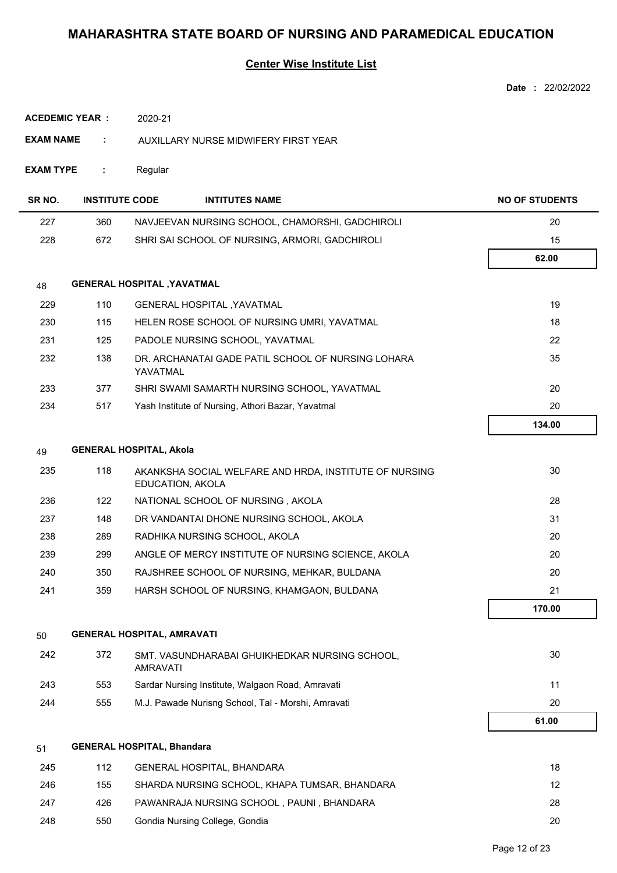## **Center Wise Institute List**

|                        |         |                       | Date: 22/02/2022                                                                                                                                                                                                                                                                                                                                                                                                                                                                                                                                                                                                                                                                                                                                                                                                                                                                                                                                                                                                                                                                                                                                                                                                                                       |
|------------------------|---------|-----------------------|--------------------------------------------------------------------------------------------------------------------------------------------------------------------------------------------------------------------------------------------------------------------------------------------------------------------------------------------------------------------------------------------------------------------------------------------------------------------------------------------------------------------------------------------------------------------------------------------------------------------------------------------------------------------------------------------------------------------------------------------------------------------------------------------------------------------------------------------------------------------------------------------------------------------------------------------------------------------------------------------------------------------------------------------------------------------------------------------------------------------------------------------------------------------------------------------------------------------------------------------------------|
| <b>ACEDEMIC YEAR :</b> | 2020-21 |                       |                                                                                                                                                                                                                                                                                                                                                                                                                                                                                                                                                                                                                                                                                                                                                                                                                                                                                                                                                                                                                                                                                                                                                                                                                                                        |
| <b>EXAM NAME</b><br>÷  |         |                       |                                                                                                                                                                                                                                                                                                                                                                                                                                                                                                                                                                                                                                                                                                                                                                                                                                                                                                                                                                                                                                                                                                                                                                                                                                                        |
| <b>EXAM TYPE</b><br>÷  | Regular |                       |                                                                                                                                                                                                                                                                                                                                                                                                                                                                                                                                                                                                                                                                                                                                                                                                                                                                                                                                                                                                                                                                                                                                                                                                                                                        |
|                        |         | <b>INTITUTES NAME</b> | <b>NO OF STUDENTS</b>                                                                                                                                                                                                                                                                                                                                                                                                                                                                                                                                                                                                                                                                                                                                                                                                                                                                                                                                                                                                                                                                                                                                                                                                                                  |
| 360                    |         |                       | 20                                                                                                                                                                                                                                                                                                                                                                                                                                                                                                                                                                                                                                                                                                                                                                                                                                                                                                                                                                                                                                                                                                                                                                                                                                                     |
| 672                    |         |                       | 15                                                                                                                                                                                                                                                                                                                                                                                                                                                                                                                                                                                                                                                                                                                                                                                                                                                                                                                                                                                                                                                                                                                                                                                                                                                     |
|                        |         |                       | 62.00                                                                                                                                                                                                                                                                                                                                                                                                                                                                                                                                                                                                                                                                                                                                                                                                                                                                                                                                                                                                                                                                                                                                                                                                                                                  |
|                        |         |                       |                                                                                                                                                                                                                                                                                                                                                                                                                                                                                                                                                                                                                                                                                                                                                                                                                                                                                                                                                                                                                                                                                                                                                                                                                                                        |
| 110                    |         |                       | 19                                                                                                                                                                                                                                                                                                                                                                                                                                                                                                                                                                                                                                                                                                                                                                                                                                                                                                                                                                                                                                                                                                                                                                                                                                                     |
| 115                    |         |                       | 18                                                                                                                                                                                                                                                                                                                                                                                                                                                                                                                                                                                                                                                                                                                                                                                                                                                                                                                                                                                                                                                                                                                                                                                                                                                     |
| 125                    |         |                       | 22                                                                                                                                                                                                                                                                                                                                                                                                                                                                                                                                                                                                                                                                                                                                                                                                                                                                                                                                                                                                                                                                                                                                                                                                                                                     |
| 138                    |         |                       | 35                                                                                                                                                                                                                                                                                                                                                                                                                                                                                                                                                                                                                                                                                                                                                                                                                                                                                                                                                                                                                                                                                                                                                                                                                                                     |
| 377                    |         |                       | 20                                                                                                                                                                                                                                                                                                                                                                                                                                                                                                                                                                                                                                                                                                                                                                                                                                                                                                                                                                                                                                                                                                                                                                                                                                                     |
| 517                    |         |                       | 20                                                                                                                                                                                                                                                                                                                                                                                                                                                                                                                                                                                                                                                                                                                                                                                                                                                                                                                                                                                                                                                                                                                                                                                                                                                     |
|                        |         |                       | 134.00                                                                                                                                                                                                                                                                                                                                                                                                                                                                                                                                                                                                                                                                                                                                                                                                                                                                                                                                                                                                                                                                                                                                                                                                                                                 |
|                        |         |                       |                                                                                                                                                                                                                                                                                                                                                                                                                                                                                                                                                                                                                                                                                                                                                                                                                                                                                                                                                                                                                                                                                                                                                                                                                                                        |
| 118                    |         |                       | 30                                                                                                                                                                                                                                                                                                                                                                                                                                                                                                                                                                                                                                                                                                                                                                                                                                                                                                                                                                                                                                                                                                                                                                                                                                                     |
| 122                    |         |                       | 28                                                                                                                                                                                                                                                                                                                                                                                                                                                                                                                                                                                                                                                                                                                                                                                                                                                                                                                                                                                                                                                                                                                                                                                                                                                     |
| 148                    |         |                       | 31                                                                                                                                                                                                                                                                                                                                                                                                                                                                                                                                                                                                                                                                                                                                                                                                                                                                                                                                                                                                                                                                                                                                                                                                                                                     |
| 289                    |         |                       | 20                                                                                                                                                                                                                                                                                                                                                                                                                                                                                                                                                                                                                                                                                                                                                                                                                                                                                                                                                                                                                                                                                                                                                                                                                                                     |
| 299                    |         |                       | 20                                                                                                                                                                                                                                                                                                                                                                                                                                                                                                                                                                                                                                                                                                                                                                                                                                                                                                                                                                                                                                                                                                                                                                                                                                                     |
| 350                    |         |                       | 20                                                                                                                                                                                                                                                                                                                                                                                                                                                                                                                                                                                                                                                                                                                                                                                                                                                                                                                                                                                                                                                                                                                                                                                                                                                     |
| 359                    |         |                       | 21                                                                                                                                                                                                                                                                                                                                                                                                                                                                                                                                                                                                                                                                                                                                                                                                                                                                                                                                                                                                                                                                                                                                                                                                                                                     |
|                        |         |                       | 170.00                                                                                                                                                                                                                                                                                                                                                                                                                                                                                                                                                                                                                                                                                                                                                                                                                                                                                                                                                                                                                                                                                                                                                                                                                                                 |
|                        |         |                       |                                                                                                                                                                                                                                                                                                                                                                                                                                                                                                                                                                                                                                                                                                                                                                                                                                                                                                                                                                                                                                                                                                                                                                                                                                                        |
| 372                    |         |                       | 30                                                                                                                                                                                                                                                                                                                                                                                                                                                                                                                                                                                                                                                                                                                                                                                                                                                                                                                                                                                                                                                                                                                                                                                                                                                     |
| 553                    |         |                       | 11                                                                                                                                                                                                                                                                                                                                                                                                                                                                                                                                                                                                                                                                                                                                                                                                                                                                                                                                                                                                                                                                                                                                                                                                                                                     |
| 555                    |         |                       | 20                                                                                                                                                                                                                                                                                                                                                                                                                                                                                                                                                                                                                                                                                                                                                                                                                                                                                                                                                                                                                                                                                                                                                                                                                                                     |
|                        |         |                       | 61.00                                                                                                                                                                                                                                                                                                                                                                                                                                                                                                                                                                                                                                                                                                                                                                                                                                                                                                                                                                                                                                                                                                                                                                                                                                                  |
|                        |         |                       |                                                                                                                                                                                                                                                                                                                                                                                                                                                                                                                                                                                                                                                                                                                                                                                                                                                                                                                                                                                                                                                                                                                                                                                                                                                        |
| 112                    |         |                       | 18                                                                                                                                                                                                                                                                                                                                                                                                                                                                                                                                                                                                                                                                                                                                                                                                                                                                                                                                                                                                                                                                                                                                                                                                                                                     |
| 155                    |         |                       | $12 \overline{ }$                                                                                                                                                                                                                                                                                                                                                                                                                                                                                                                                                                                                                                                                                                                                                                                                                                                                                                                                                                                                                                                                                                                                                                                                                                      |
| 426                    |         |                       | 28                                                                                                                                                                                                                                                                                                                                                                                                                                                                                                                                                                                                                                                                                                                                                                                                                                                                                                                                                                                                                                                                                                                                                                                                                                                     |
|                        |         | <b>INSTITUTE CODE</b> | AUXILLARY NURSE MIDWIFERY FIRST YEAR<br>NAVJEEVAN NURSING SCHOOL, CHAMORSHI, GADCHIROLI<br>SHRI SAI SCHOOL OF NURSING, ARMORI, GADCHIROLI<br><b>GENERAL HOSPITAL , YAVATMAL</b><br><b>GENERAL HOSPITAL, YAVATMAL</b><br>HELEN ROSE SCHOOL OF NURSING UMRI, YAVATMAL<br>PADOLE NURSING SCHOOL, YAVATMAL<br>DR. ARCHANATAI GADE PATIL SCHOOL OF NURSING LOHARA<br>YAVATMAL<br>SHRI SWAMI SAMARTH NURSING SCHOOL, YAVATMAL<br>Yash Institute of Nursing, Athori Bazar, Yavatmal<br><b>GENERAL HOSPITAL, Akola</b><br>AKANKSHA SOCIAL WELFARE AND HRDA, INSTITUTE OF NURSING<br>EDUCATION, AKOLA<br>NATIONAL SCHOOL OF NURSING, AKOLA<br>DR VANDANTAI DHONE NURSING SCHOOL, AKOLA<br>RADHIKA NURSING SCHOOL, AKOLA<br>ANGLE OF MERCY INSTITUTE OF NURSING SCIENCE, AKOLA<br>RAJSHREE SCHOOL OF NURSING, MEHKAR, BULDANA<br>HARSH SCHOOL OF NURSING, KHAMGAON, BULDANA<br><b>GENERAL HOSPITAL, AMRAVATI</b><br>SMT. VASUNDHARABAI GHUIKHEDKAR NURSING SCHOOL,<br><b>AMRAVATI</b><br>Sardar Nursing Institute, Walgaon Road, Amravati<br>M.J. Pawade Nurisng School, Tal - Morshi, Amravati<br><b>GENERAL HOSPITAL, Bhandara</b><br>GENERAL HOSPITAL, BHANDARA<br>SHARDA NURSING SCHOOL, KHAPA TUMSAR, BHANDARA<br>PAWANRAJA NURSING SCHOOL, PAUNI, BHANDARA |

248 550 Gondia Nursing College, Gondia 20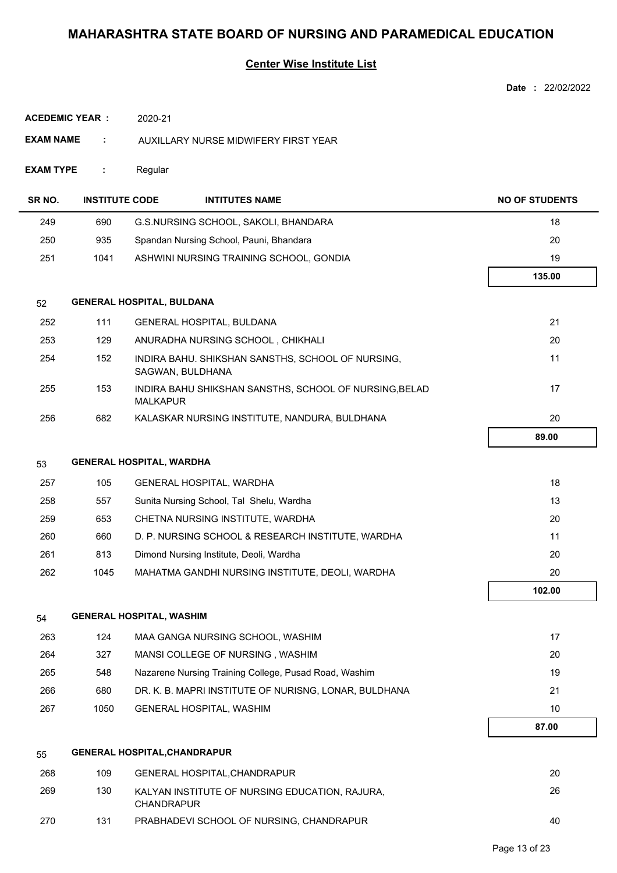|                       |                       |                                                                           | Date: 22/02/2022      |
|-----------------------|-----------------------|---------------------------------------------------------------------------|-----------------------|
| <b>ACEDEMIC YEAR:</b> |                       | 2020-21                                                                   |                       |
| <b>EXAM NAME</b>      | ÷                     | AUXILLARY NURSE MIDWIFERY FIRST YEAR                                      |                       |
| <b>EXAM TYPE</b>      | ÷                     | Regular                                                                   |                       |
| SR NO.                | <b>INSTITUTE CODE</b> | <b>INTITUTES NAME</b>                                                     | <b>NO OF STUDENTS</b> |
| 249                   | 690                   | G.S.NURSING SCHOOL, SAKOLI, BHANDARA                                      | 18                    |
| 250                   | 935                   | Spandan Nursing School, Pauni, Bhandara                                   | 20                    |
| 251                   | 1041                  | ASHWINI NURSING TRAINING SCHOOL, GONDIA                                   | 19                    |
|                       |                       |                                                                           | 135.00                |
| 52                    |                       | <b>GENERAL HOSPITAL, BULDANA</b>                                          |                       |
| 252                   | 111                   | <b>GENERAL HOSPITAL, BULDANA</b>                                          | 21                    |
| 253                   | 129                   | ANURADHA NURSING SCHOOL, CHIKHALI                                         | 20                    |
| 254                   | 152                   | INDIRA BAHU. SHIKSHAN SANSTHS, SCHOOL OF NURSING,<br>SAGWAN, BULDHANA     | 11                    |
| 255                   | 153                   | INDIRA BAHU SHIKSHAN SANSTHS, SCHOOL OF NURSING, BELAD<br><b>MALKAPUR</b> | 17                    |
| 256                   | 682                   | KALASKAR NURSING INSTITUTE, NANDURA, BULDHANA                             | 20                    |
|                       |                       |                                                                           | 89.00                 |
| 53                    |                       | <b>GENERAL HOSPITAL, WARDHA</b>                                           |                       |
| 257                   | 105                   | <b>GENERAL HOSPITAL, WARDHA</b>                                           | 18                    |
| 258                   | 557                   | Sunita Nursing School, Tal Shelu, Wardha                                  | 13                    |
| 259                   | 653                   | CHETNA NURSING INSTITUTE, WARDHA                                          | 20                    |
| 260                   | 660                   | D. P. NURSING SCHOOL & RESEARCH INSTITUTE, WARDHA                         | 11                    |
| 261                   | 813                   | Dimond Nursing Institute, Deoli, Wardha                                   | 20                    |
| 262                   | 1045                  | MAHATMA GANDHI NURSING INSTITUTE, DEOLI, WARDHA                           | 20                    |
|                       |                       |                                                                           | 102.00                |
| 54                    |                       | <b>GENERAL HOSPITAL, WASHIM</b>                                           |                       |
| 263                   | 124                   | MAA GANGA NURSING SCHOOL, WASHIM                                          | 17                    |
| 264                   | 327                   | MANSI COLLEGE OF NURSING, WASHIM                                          | 20                    |
| 265                   | 548                   | Nazarene Nursing Training College, Pusad Road, Washim                     | 19                    |
| 266                   | 680                   | DR. K. B. MAPRI INSTITUTE OF NURISNG, LONAR, BULDHANA                     | 21                    |
| 267                   | 1050                  | GENERAL HOSPITAL, WASHIM                                                  | 10                    |
|                       |                       |                                                                           | 87.00                 |
| 55                    |                       | <b>GENERAL HOSPITAL, CHANDRAPUR</b>                                       |                       |
| 268                   | 109                   | GENERAL HOSPITAL, CHANDRAPUR                                              | 20                    |
| 269                   | 130                   | KALYAN INSTITUTE OF NURSING EDUCATION, RAJURA,<br><b>CHANDRAPUR</b>       | 26                    |
| 270                   | 131                   | PRABHADEVI SCHOOL OF NURSING, CHANDRAPUR                                  | 40                    |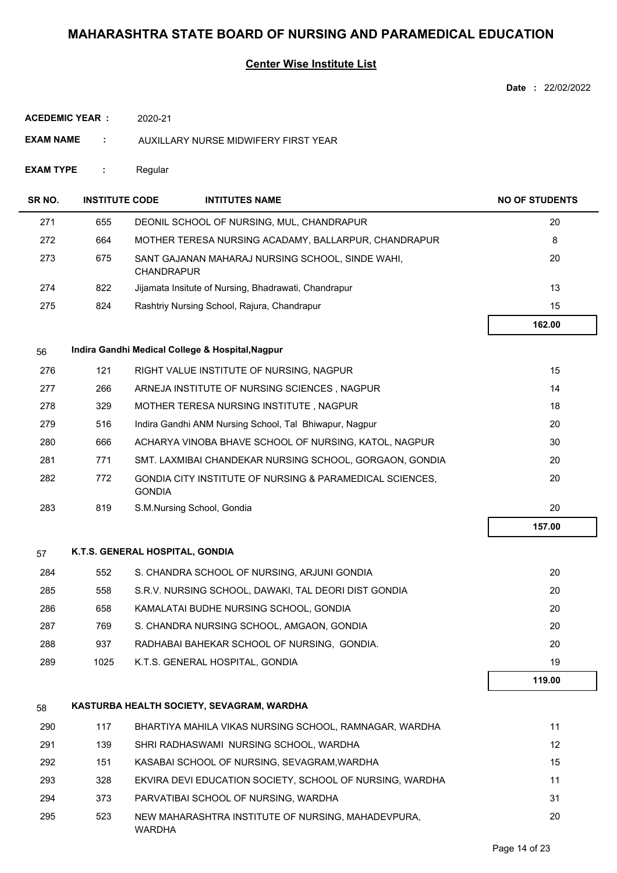| Date | 22/02/2022 |
|------|------------|
|      |            |

| <b>ACEDEMIC YEAR:</b><br>2020-21 |                       |                                 |                                                          |                       |
|----------------------------------|-----------------------|---------------------------------|----------------------------------------------------------|-----------------------|
| <b>EXAM NAME</b>                 | ÷                     |                                 | AUXILLARY NURSE MIDWIFERY FIRST YEAR                     |                       |
| <b>EXAM TYPE</b>                 | ÷                     | Regular                         |                                                          |                       |
| SR NO.                           | <b>INSTITUTE CODE</b> |                                 | <b>INTITUTES NAME</b>                                    | <b>NO OF STUDENTS</b> |
| 271                              | 655                   |                                 | DEONIL SCHOOL OF NURSING, MUL, CHANDRAPUR                | 20                    |
| 272                              | 664                   |                                 | MOTHER TERESA NURSING ACADAMY, BALLARPUR, CHANDRAPUR     | 8                     |
| 273                              | 675                   | <b>CHANDRAPUR</b>               | SANT GAJANAN MAHARAJ NURSING SCHOOL, SINDE WAHI,         | 20                    |
| 274                              | 822                   |                                 | Jijamata Insitute of Nursing, Bhadrawati, Chandrapur     | 13                    |
| 275                              | 824                   |                                 | Rashtriy Nursing School, Rajura, Chandrapur              | 15                    |
|                                  |                       |                                 |                                                          | 162.00                |
| 56                               |                       |                                 | Indira Gandhi Medical College & Hospital, Nagpur         |                       |
| 276                              | 121                   |                                 | RIGHT VALUE INSTITUTE OF NURSING, NAGPUR                 | 15                    |
| 277                              | 266                   |                                 | ARNEJA INSTITUTE OF NURSING SCIENCES, NAGPUR             | 14                    |
| 278                              | 329                   |                                 | MOTHER TERESA NURSING INSTITUTE, NAGPUR                  | 18                    |
| 279                              | 516                   |                                 | Indira Gandhi ANM Nursing School, Tal Bhiwapur, Nagpur   | 20                    |
| 280                              | 666                   |                                 | ACHARYA VINOBA BHAVE SCHOOL OF NURSING, KATOL, NAGPUR    | 30                    |
| 281                              | 771                   |                                 | SMT. LAXMIBAI CHANDEKAR NURSING SCHOOL, GORGAON, GONDIA  | 20                    |
| 282                              | 772                   | <b>GONDIA</b>                   | GONDIA CITY INSTITUTE OF NURSING & PARAMEDICAL SCIENCES, | 20                    |
| 283                              | 819                   |                                 | S.M.Nursing School, Gondia                               | 20                    |
|                                  |                       |                                 |                                                          | 157.00                |
| 57                               |                       | K.T.S. GENERAL HOSPITAL, GONDIA |                                                          |                       |
| 284                              | 552                   |                                 | S. CHANDRA SCHOOL OF NURSING, ARJUNI GONDIA              | 20                    |
| 285                              | 558                   |                                 | S.R.V. NURSING SCHOOL, DAWAKI, TAL DEORI DIST GONDIA     | 20                    |
| 286                              | 658                   |                                 | KAMALATAI BUDHE NURSING SCHOOL, GONDIA                   | 20                    |
| 287                              | 769                   |                                 | S. CHANDRA NURSING SCHOOL, AMGAON, GONDIA                | 20                    |
| 288                              | 937                   |                                 | RADHABAI BAHEKAR SCHOOL OF NURSING, GONDIA.              | 20                    |
| 289                              | 1025                  |                                 | K.T.S. GENERAL HOSPITAL, GONDIA                          | 19                    |
|                                  |                       |                                 |                                                          | 119.00                |
| 58                               |                       |                                 | KASTURBA HEALTH SOCIETY, SEVAGRAM, WARDHA                |                       |
| 290                              | 117                   |                                 | BHARTIYA MAHILA VIKAS NURSING SCHOOL, RAMNAGAR, WARDHA   | 11                    |
| 291                              | 139                   |                                 | SHRI RADHASWAMI NURSING SCHOOL, WARDHA                   | $12 \overline{ }$     |
| 292                              | 151                   |                                 | KASABAI SCHOOL OF NURSING, SEVAGRAM, WARDHA              | 15                    |
| 293                              | 328                   |                                 | EKVIRA DEVI EDUCATION SOCIETY, SCHOOL OF NURSING, WARDHA | 11                    |
| 294                              | 373                   |                                 | PARVATIBAI SCHOOL OF NURSING, WARDHA                     | 31                    |
| 295                              | 523                   | WARDHA                          | NEW MAHARASHTRA INSTITUTE OF NURSING, MAHADEVPURA,       | 20                    |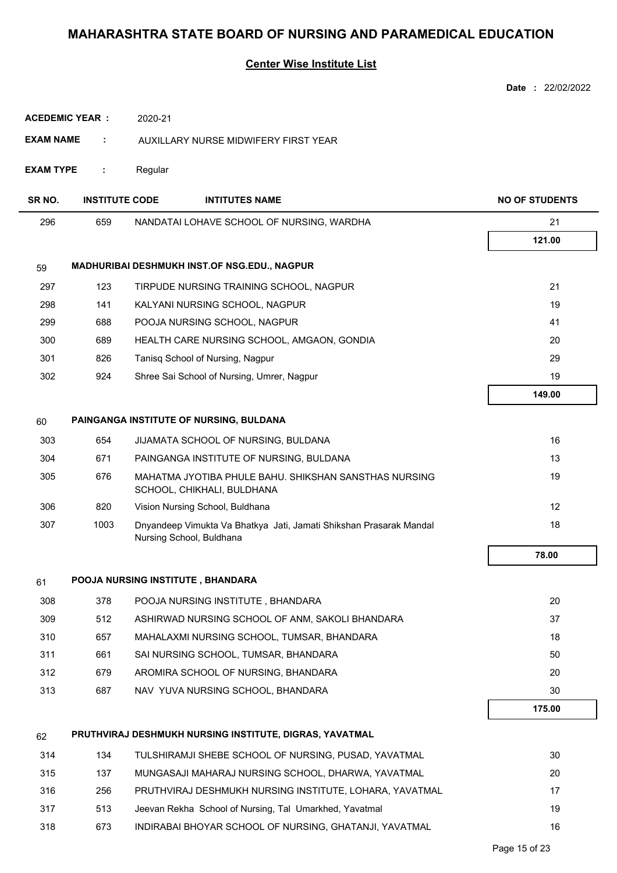|                       |                       |                                                                                                | Date: 22/02/2022      |
|-----------------------|-----------------------|------------------------------------------------------------------------------------------------|-----------------------|
| <b>ACEDEMIC YEAR:</b> |                       | 2020-21                                                                                        |                       |
| <b>EXAM NAME</b>      | ÷                     | AUXILLARY NURSE MIDWIFERY FIRST YEAR                                                           |                       |
| <b>EXAM TYPE</b>      | ÷                     | Regular                                                                                        |                       |
|                       |                       |                                                                                                |                       |
| SR NO.                | <b>INSTITUTE CODE</b> | <b>INTITUTES NAME</b>                                                                          | <b>NO OF STUDENTS</b> |
| 296                   | 659                   | NANDATAI LOHAVE SCHOOL OF NURSING, WARDHA                                                      | 21                    |
|                       |                       |                                                                                                | 121.00                |
| 59                    |                       | MADHURIBAI DESHMUKH INST.OF NSG.EDU., NAGPUR                                                   |                       |
| 297                   | 123                   | TIRPUDE NURSING TRAINING SCHOOL, NAGPUR                                                        | 21                    |
| 298                   | 141                   | KALYANI NURSING SCHOOL, NAGPUR                                                                 | 19                    |
| 299                   | 688                   | POOJA NURSING SCHOOL, NAGPUR                                                                   | 41                    |
| 300                   | 689                   | HEALTH CARE NURSING SCHOOL, AMGAON, GONDIA                                                     | 20                    |
| 301                   | 826                   | Tanisq School of Nursing, Nagpur                                                               | 29                    |
| 302                   | 924                   | Shree Sai School of Nursing, Umrer, Nagpur                                                     | 19                    |
|                       |                       |                                                                                                | 149.00                |
| 60                    |                       | PAINGANGA INSTITUTE OF NURSING, BULDANA                                                        |                       |
| 303                   | 654                   | JIJAMATA SCHOOL OF NURSING, BULDANA                                                            | 16                    |
| 304                   | 671                   | PAINGANGA INSTITUTE OF NURSING, BULDANA                                                        | 13                    |
| 305                   | 676                   | MAHATMA JYOTIBA PHULE BAHU. SHIKSHAN SANSTHAS NURSING<br>SCHOOL, CHIKHALI, BULDHANA            | 19                    |
| 306                   | 820                   | Vision Nursing School, Buldhana                                                                | 12                    |
| 307                   | 1003                  | Dnyandeep Vimukta Va Bhatkya Jati, Jamati Shikshan Prasarak Mandal<br>Nursing School, Buldhana | 18                    |
|                       |                       |                                                                                                | 78.00                 |
| 61                    |                       | POOJA NURSING INSTITUTE, BHANDARA                                                              |                       |
| 308                   | 378                   | POOJA NURSING INSTITUTE, BHANDARA                                                              | 20                    |
| 309                   | 512                   | ASHIRWAD NURSING SCHOOL OF ANM, SAKOLI BHANDARA                                                | 37                    |
| 310                   | 657                   | MAHALAXMI NURSING SCHOOL, TUMSAR, BHANDARA                                                     | 18                    |
| 311                   | 661                   | SAI NURSING SCHOOL, TUMSAR, BHANDARA                                                           | 50                    |
| 312                   | 679                   | AROMIRA SCHOOL OF NURSING, BHANDARA                                                            | 20                    |
| 313                   | 687                   | NAV YUVA NURSING SCHOOL, BHANDARA                                                              | 30                    |
|                       |                       |                                                                                                | 175.00                |
| 62                    |                       | PRUTHVIRAJ DESHMUKH NURSING INSTITUTE, DIGRAS, YAVATMAL                                        |                       |
| 314                   | 134                   | TULSHIRAMJI SHEBE SCHOOL OF NURSING, PUSAD, YAVATMAL                                           | 30                    |
| 315                   | 137                   | MUNGASAJI MAHARAJ NURSING SCHOOL, DHARWA, YAVATMAL                                             | 20                    |
| 316                   | 256                   | PRUTHVIRAJ DESHMUKH NURSING INSTITUTE, LOHARA, YAVATMAL                                        | 17                    |
| 317                   | 513                   | Jeevan Rekha School of Nursing, Tal Umarkhed, Yavatmal                                         | 19                    |
| 318                   | 673                   | INDIRABAI BHOYAR SCHOOL OF NURSING, GHATANJI, YAVATMAL                                         | 16                    |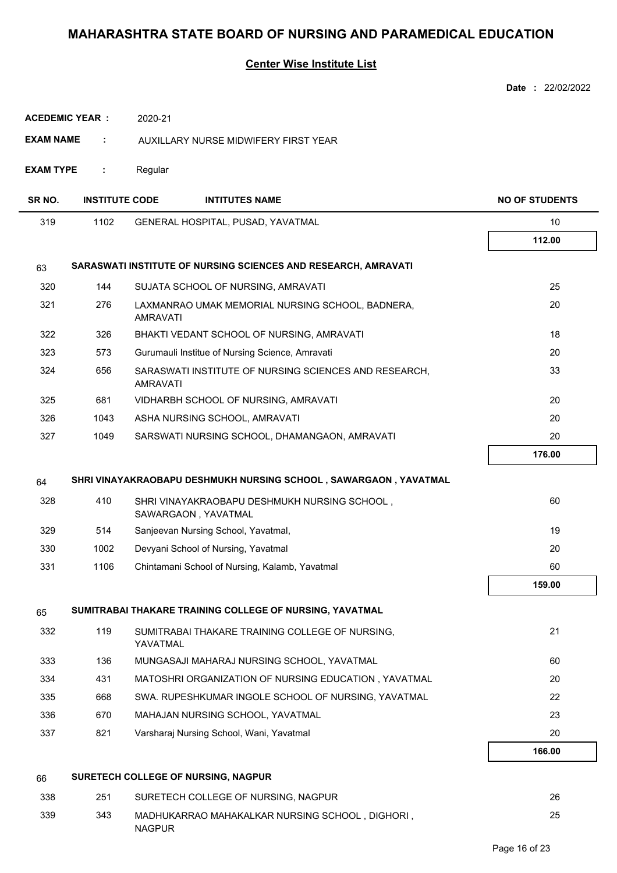|                       |                       |                                                                          | Date: 22/02/2022      |
|-----------------------|-----------------------|--------------------------------------------------------------------------|-----------------------|
| <b>ACEDEMIC YEAR:</b> |                       | 2020-21                                                                  |                       |
| EXAM NAME             | ÷                     | AUXILLARY NURSE MIDWIFERY FIRST YEAR                                     |                       |
| <b>EXAM TYPE</b>      | ÷                     | Regular                                                                  |                       |
| SR NO.                | <b>INSTITUTE CODE</b> | <b>INTITUTES NAME</b>                                                    | <b>NO OF STUDENTS</b> |
| 319                   | 1102                  | GENERAL HOSPITAL, PUSAD, YAVATMAL                                        | 10                    |
|                       |                       |                                                                          | 112.00                |
| 63                    |                       | SARASWATI INSTITUTE OF NURSING SCIENCES AND RESEARCH, AMRAVATI           |                       |
| 320                   | 144                   | SUJATA SCHOOL OF NURSING, AMRAVATI                                       | 25                    |
| 321                   | 276                   | LAXMANRAO UMAK MEMORIAL NURSING SCHOOL, BADNERA,<br><b>AMRAVATI</b>      | 20                    |
| 322                   | 326                   | BHAKTI VEDANT SCHOOL OF NURSING, AMRAVATI                                | 18                    |
| 323                   | 573                   | Gurumauli Institue of Nursing Science, Amravati                          | 20                    |
| 324                   | 656                   | SARASWATI INSTITUTE OF NURSING SCIENCES AND RESEARCH,<br><b>AMRAVATI</b> | 33                    |
| 325                   | 681                   | VIDHARBH SCHOOL OF NURSING, AMRAVATI                                     | 20                    |
| 326                   | 1043                  | ASHA NURSING SCHOOL, AMRAVATI                                            | 20                    |
| 327                   | 1049                  | SARSWATI NURSING SCHOOL, DHAMANGAON, AMRAVATI                            | 20                    |
|                       |                       |                                                                          | 176.00                |
| 64                    |                       | SHRI VINAYAKRAOBAPU DESHMUKH NURSING SCHOOL, SAWARGAON, YAVATMAL         |                       |
| 328                   | 410                   | SHRI VINAYAKRAOBAPU DESHMUKH NURSING SCHOOL,<br>SAWARGAON, YAVATMAL      | 60                    |
| 329                   | 514                   | Sanjeevan Nursing School, Yavatmal,                                      | 19                    |
| 330                   | 1002                  | Devyani School of Nursing, Yavatmal                                      | 20                    |
| 331                   | 1106                  | Chintamani School of Nursing, Kalamb, Yavatmal                           | 60                    |
|                       |                       |                                                                          | 159.00                |
| 65                    |                       | SUMITRABAI THAKARE TRAINING COLLEGE OF NURSING, YAVATMAL                 |                       |
| 332                   | 119                   | SUMITRABAI THAKARE TRAINING COLLEGE OF NURSING,<br>YAVATMAL              | 21                    |
| 333                   | 136                   | MUNGASAJI MAHARAJ NURSING SCHOOL, YAVATMAL                               | 60                    |
| 334                   | 431                   | MATOSHRI ORGANIZATION OF NURSING EDUCATION, YAVATMAL                     | 20                    |
| 335                   | 668                   | SWA. RUPESHKUMAR INGOLE SCHOOL OF NURSING, YAVATMAL                      | 22                    |
| 336                   | 670                   | MAHAJAN NURSING SCHOOL, YAVATMAL                                         | 23                    |
| 337                   | 821                   | Varsharaj Nursing School, Wani, Yavatmal                                 | 20                    |
|                       |                       |                                                                          | 166.00                |
| 66                    |                       | SURETECH COLLEGE OF NURSING, NAGPUR                                      |                       |
| 338                   | 251                   | SURETECH COLLEGE OF NURSING, NAGPUR                                      | 26                    |
| 339                   | 343                   | MADHUKARRAO MAHAKALKAR NURSING SCHOOL, DIGHORI,<br><b>NAGPUR</b>         | 25                    |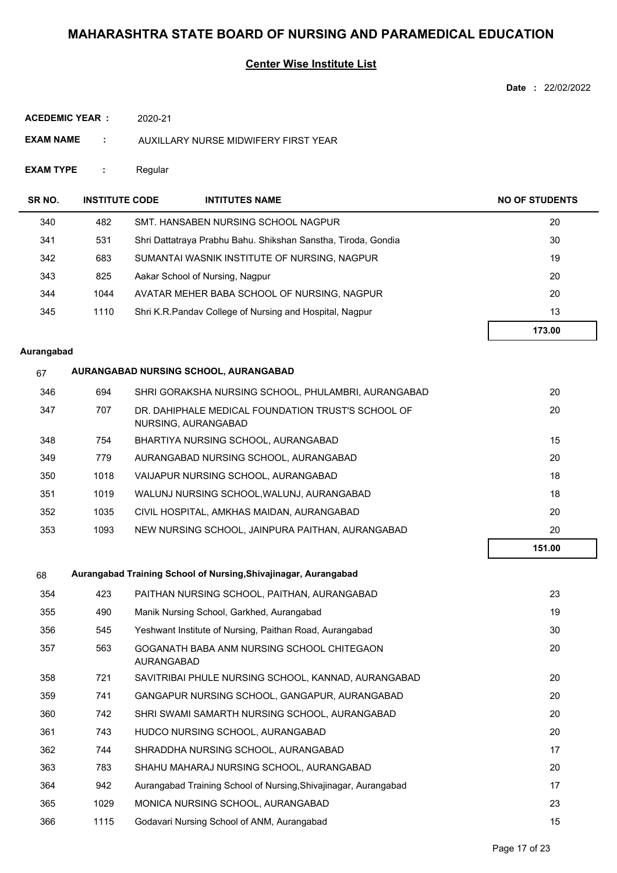### **Center Wise Institute List**

**Date :** 22/02/2022

| ACEDEMIC YEAR : | 2020-21 |
|-----------------|---------|
|                 |         |

- **EXAM NAME :** AUXILLARY NURSE MIDWIFERY FIRST YEAR
- **EXAM TYPE :** Regular

| SR NO. | <b>INSTITUTE CODE</b> |                                 | <b>INTITUTES NAME</b>                                         | <b>NO OF STUDENTS</b> |
|--------|-----------------------|---------------------------------|---------------------------------------------------------------|-----------------------|
| 340    | 482                   |                                 | SMT. HANSABEN NURSING SCHOOL NAGPUR                           | 20                    |
| 341    | 531                   |                                 | Shri Dattatraya Prabhu Bahu. Shikshan Sanstha, Tiroda, Gondia | 30                    |
| 342    | 683                   |                                 | SUMANTAI WASNIK INSTITUTE OF NURSING, NAGPUR                  | 19                    |
| 343    | 825                   | Aakar School of Nursing, Nagpur |                                                               | 20                    |
| 344    | 1044                  |                                 | AVATAR MEHER BABA SCHOOL OF NURSING, NAGPUR                   | 20                    |
| 345    | 1110                  |                                 | Shri K.R.Pandav College of Nursing and Hospital, Nagpur       | 13                    |
|        |                       |                                 |                                                               | 173.00                |

#### **Aurangabad**

## 67 **AURANGABAD NURSING SCHOOL, AURANGABAD**

| 346 | 694  | SHRI GORAKSHA NURSING SCHOOL. PHULAMBRI. AURANGABAD                       | 20     |
|-----|------|---------------------------------------------------------------------------|--------|
| 347 | 707  | DR. DAHIPHALE MEDICAL FOUNDATION TRUST'S SCHOOL OF<br>NURSING, AURANGABAD | 20     |
| 348 | 754  | BHARTIYA NURSING SCHOOL, AURANGABAD                                       | 15     |
| 349 | 779  | AURANGABAD NURSING SCHOOL, AURANGABAD                                     | 20     |
| 350 | 1018 | VAIJAPUR NURSING SCHOOL, AURANGABAD                                       | 18     |
| 351 | 1019 | WALUNJ NURSING SCHOOL.WALUNJ. AURANGABAD                                  | 18     |
| 352 | 1035 | CIVIL HOSPITAL, AMKHAS MAIDAN, AURANGABAD                                 | 20     |
| 353 | 1093 | NEW NURSING SCHOOL. JAINPURA PAITHAN, AURANGABAD                          | 20     |
|     |      |                                                                           | 151.00 |

#### 68 **Aurangabad Training School of Nursing,Shivajinagar, Aurangabad**

| 354 | 423  | PAITHAN NURSING SCHOOL, PAITHAN, AURANGABAD                     | 23 |
|-----|------|-----------------------------------------------------------------|----|
| 355 | 490  | Manik Nursing School, Garkhed, Aurangabad                       | 19 |
| 356 | 545  | Yeshwant Institute of Nursing, Paithan Road, Aurangabad         | 30 |
| 357 | 563  | GOGANATH BABA ANM NURSING SCHOOL CHITEGAON<br><b>AURANGABAD</b> | 20 |
| 358 | 721  | SAVITRIBAI PHULE NURSING SCHOOL, KANNAD, AURANGABAD             | 20 |
| 359 | 741  | GANGAPUR NURSING SCHOOL, GANGAPUR, AURANGABAD                   | 20 |
| 360 | 742  | SHRI SWAMI SAMARTH NURSING SCHOOL, AURANGABAD                   | 20 |
| 361 | 743  | HUDCO NURSING SCHOOL, AURANGABAD                                | 20 |
| 362 | 744  | SHRADDHA NURSING SCHOOL, AURANGABAD                             | 17 |
| 363 | 783  | SHAHU MAHARAJ NURSING SCHOOL, AURANGABAD                        | 20 |
| 364 | 942  | Aurangabad Training School of Nursing, Shivajinagar, Aurangabad | 17 |
| 365 | 1029 | MONICA NURSING SCHOOL, AURANGABAD                               | 23 |
| 366 | 1115 | Godavari Nursing School of ANM, Aurangabad                      | 15 |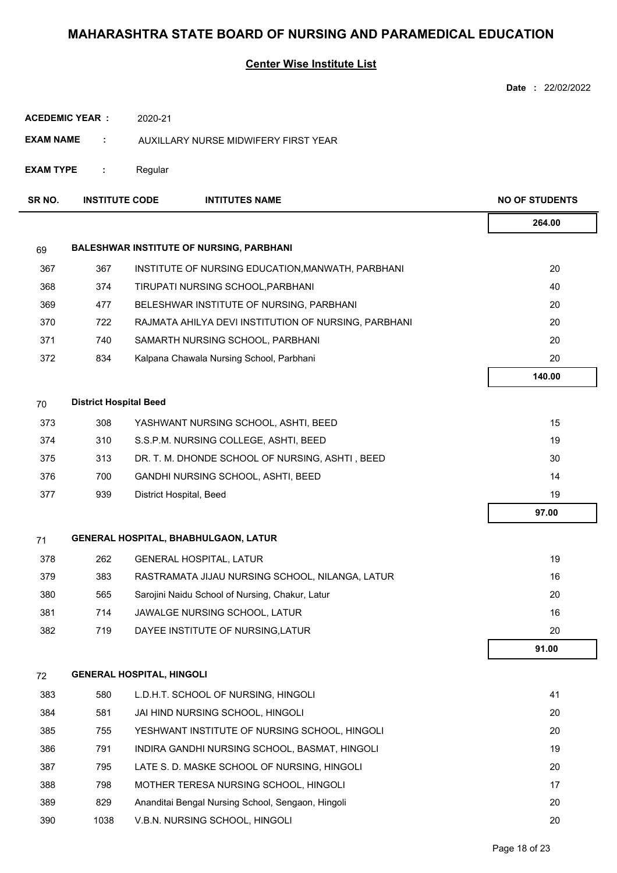|                  |                               |                                  |                                                      | Date: 22/02/2022      |
|------------------|-------------------------------|----------------------------------|------------------------------------------------------|-----------------------|
|                  | <b>ACEDEMIC YEAR:</b>         | 2020-21                          |                                                      |                       |
| <b>EXAM NAME</b> | ÷.                            |                                  | AUXILLARY NURSE MIDWIFERY FIRST YEAR                 |                       |
| <b>EXAM TYPE</b> | ÷                             | Regular                          |                                                      |                       |
| SR NO.           | <b>INSTITUTE CODE</b>         |                                  | <b>INTITUTES NAME</b>                                | <b>NO OF STUDENTS</b> |
|                  |                               |                                  |                                                      | 264.00                |
| 69               |                               |                                  | <b>BALESHWAR INSTITUTE OF NURSING, PARBHANI</b>      |                       |
| 367              | 367                           |                                  | INSTITUTE OF NURSING EDUCATION, MANWATH, PARBHANI    | 20                    |
| 368              | 374                           |                                  | TIRUPATI NURSING SCHOOL, PARBHANI                    | 40                    |
| 369              | 477                           |                                  | BELESHWAR INSTITUTE OF NURSING, PARBHANI             | 20                    |
| 370              | 722                           |                                  | RAJMATA AHILYA DEVI INSTITUTION OF NURSING, PARBHANI | 20                    |
| 371              | 740                           |                                  | SAMARTH NURSING SCHOOL, PARBHANI                     | 20                    |
| 372              | 834                           |                                  | Kalpana Chawala Nursing School, Parbhani             | 20                    |
|                  |                               |                                  |                                                      | 140.00                |
| 70               | <b>District Hospital Beed</b> |                                  |                                                      |                       |
| 373              | 308                           |                                  | YASHWANT NURSING SCHOOL, ASHTI, BEED                 | 15                    |
| 374              | 310                           |                                  | S.S.P.M. NURSING COLLEGE, ASHTI, BEED                | 19                    |
| 375              | 313                           |                                  | DR. T. M. DHONDE SCHOOL OF NURSING, ASHTI, BEED      | 30                    |
| 376              | 700                           |                                  | GANDHI NURSING SCHOOL, ASHTI, BEED                   | 14                    |
| 377              | 939                           |                                  | District Hospital, Beed                              | 19                    |
|                  |                               |                                  |                                                      | 97.00                 |
| 71               |                               |                                  | <b>GENERAL HOSPITAL, BHABHULGAON, LATUR</b>          |                       |
| 378              | 262                           |                                  | <b>GENERAL HOSPITAL, LATUR</b>                       | 19                    |
| 379              | 383                           |                                  | RASTRAMATA JIJAU NURSING SCHOOL, NILANGA, LATUR      | 16                    |
| 380              | 565                           |                                  | Sarojini Naidu School of Nursing, Chakur, Latur      | 20                    |
| 381              | 714                           |                                  | JAWALGE NURSING SCHOOL, LATUR                        | 16                    |
| 382              | 719                           |                                  | DAYEE INSTITUTE OF NURSING, LATUR                    | 20                    |
|                  |                               |                                  |                                                      | 91.00                 |
| 72               |                               | <b>GENERAL HOSPITAL, HINGOLI</b> |                                                      |                       |
| 383              | 580                           |                                  | L.D.H.T. SCHOOL OF NURSING, HINGOLI                  | 41                    |
| 384              | 581                           |                                  | JAI HIND NURSING SCHOOL, HINGOLI                     | 20                    |
| 385              | 755                           |                                  | YESHWANT INSTITUTE OF NURSING SCHOOL, HINGOLI        | 20                    |
| 386              | 791                           |                                  | INDIRA GANDHI NURSING SCHOOL, BASMAT, HINGOLI        | 19                    |
| 387              | 795                           |                                  | LATE S. D. MASKE SCHOOL OF NURSING, HINGOLI          | 20                    |
| 388              | 798                           |                                  | MOTHER TERESA NURSING SCHOOL, HINGOLI                | 17                    |
| 389              | 829                           |                                  | Ananditai Bengal Nursing School, Sengaon, Hingoli    | 20                    |
| 390              | 1038                          |                                  | V.B.N. NURSING SCHOOL, HINGOLI                       | 20                    |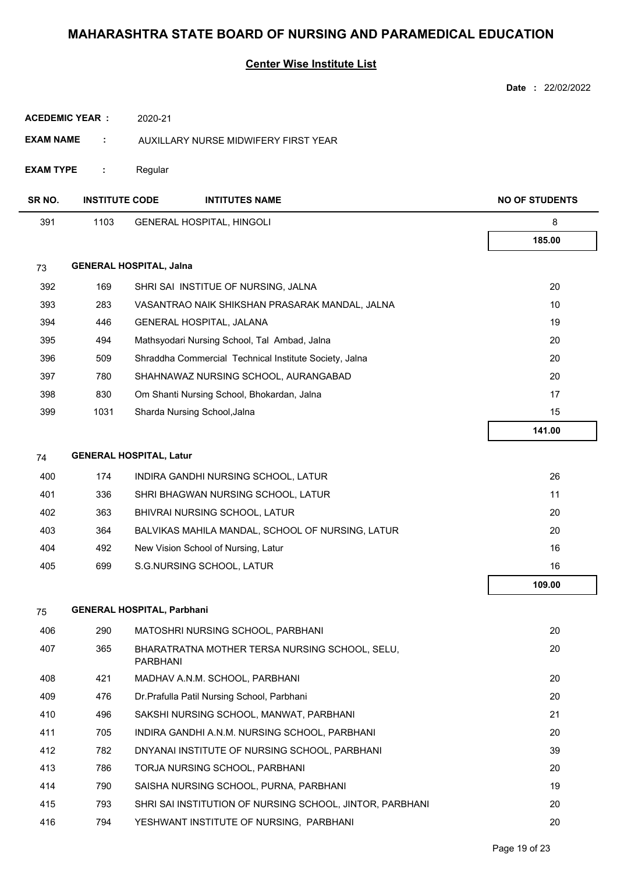|                       |                                   |                 |                                                          | <b>Date</b><br>: 22/02/2022 |
|-----------------------|-----------------------------------|-----------------|----------------------------------------------------------|-----------------------------|
| <b>ACEDEMIC YEAR:</b> |                                   | 2020-21         |                                                          |                             |
| <b>EXAM NAME</b>      | ÷                                 |                 | AUXILLARY NURSE MIDWIFERY FIRST YEAR                     |                             |
| <b>EXAM TYPE</b>      | ÷                                 | Regular         |                                                          |                             |
| SR NO.                | <b>INSTITUTE CODE</b>             |                 | <b>INTITUTES NAME</b>                                    | <b>NO OF STUDENTS</b>       |
| 391                   | 1103                              |                 | <b>GENERAL HOSPITAL, HINGOLI</b>                         | 8                           |
|                       |                                   |                 |                                                          | 185.00                      |
| 73                    | <b>GENERAL HOSPITAL, Jalna</b>    |                 |                                                          |                             |
| 392                   | 169                               |                 | SHRI SAI INSTITUE OF NURSING, JALNA                      | 20                          |
| 393                   | 283                               |                 | VASANTRAO NAIK SHIKSHAN PRASARAK MANDAL, JALNA           | 10                          |
| 394                   | 446                               |                 | GENERAL HOSPITAL, JALANA                                 | 19                          |
| 395                   | 494                               |                 | Mathsyodari Nursing School, Tal Ambad, Jalna             | 20                          |
| 396                   | 509                               |                 | Shraddha Commercial Technical Institute Society, Jalna   | 20                          |
| 397                   | 780                               |                 | SHAHNAWAZ NURSING SCHOOL, AURANGABAD                     | 20                          |
| 398                   | 830                               |                 | Om Shanti Nursing School, Bhokardan, Jalna               | 17                          |
| 399                   | 1031                              |                 | Sharda Nursing School, Jalna                             | 15                          |
|                       |                                   |                 |                                                          | 141.00                      |
| 74                    | <b>GENERAL HOSPITAL, Latur</b>    |                 |                                                          |                             |
| 400                   | 174                               |                 | INDIRA GANDHI NURSING SCHOOL, LATUR                      | 26                          |
| 401                   | 336                               |                 | SHRI BHAGWAN NURSING SCHOOL, LATUR                       | 11                          |
| 402                   | 363                               |                 | BHIVRAI NURSING SCHOOL, LATUR                            | 20                          |
| 403                   | 364                               |                 | BALVIKAS MAHILA MANDAL, SCHOOL OF NURSING, LATUR         | 20                          |
| 404                   | 492                               |                 | New Vision School of Nursing, Latur                      | 16                          |
| 405                   | 699                               |                 | S.G.NURSING SCHOOL, LATUR                                | 16                          |
|                       |                                   |                 |                                                          | 109.00                      |
| 75                    | <b>GENERAL HOSPITAL, Parbhani</b> |                 |                                                          |                             |
| 406                   | 290                               |                 | MATOSHRI NURSING SCHOOL, PARBHANI                        | 20                          |
| 407                   | 365                               | <b>PARBHANI</b> | BHARATRATNA MOTHER TERSA NURSING SCHOOL, SELU,           | 20                          |
| 408                   | 421                               |                 | MADHAV A.N.M. SCHOOL, PARBHANI                           | 20                          |
| 409                   | 476                               |                 | Dr. Prafulla Patil Nursing School, Parbhani              | 20                          |
| 410                   | 496                               |                 | SAKSHI NURSING SCHOOL, MANWAT, PARBHANI                  | 21                          |
| 411                   | 705                               |                 | INDIRA GANDHI A.N.M. NURSING SCHOOL, PARBHANI            | 20                          |
| 412                   | 782                               |                 | DNYANAI INSTITUTE OF NURSING SCHOOL, PARBHANI            | 39                          |
| 413                   | 786                               |                 | TORJA NURSING SCHOOL, PARBHANI                           | 20                          |
| 414                   | 790                               |                 | SAISHA NURSING SCHOOL, PURNA, PARBHANI                   | 19                          |
| 415                   | 793                               |                 | SHRI SAI INSTITUTION OF NURSING SCHOOL, JINTOR, PARBHANI | 20                          |
| 416                   | 794                               |                 | YESHWANT INSTITUTE OF NURSING, PARBHANI                  | 20                          |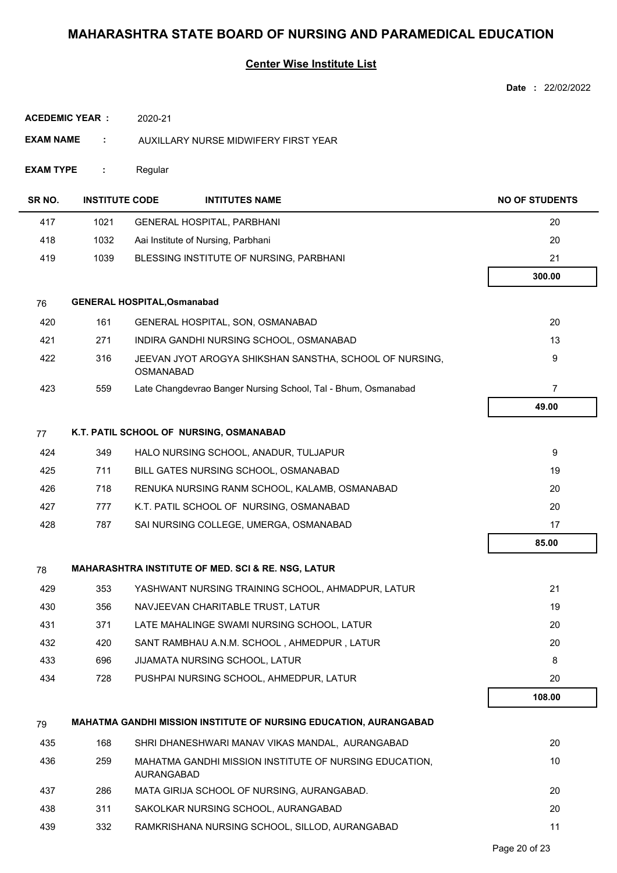|                        |                       |                                    |                                                                          | Date: 22/02/2022      |
|------------------------|-----------------------|------------------------------------|--------------------------------------------------------------------------|-----------------------|
| <b>ACEDEMIC YEAR :</b> |                       | 2020-21                            |                                                                          |                       |
| <b>EXAM NAME</b>       | ÷                     |                                    | AUXILLARY NURSE MIDWIFERY FIRST YEAR                                     |                       |
| <b>EXAM TYPE</b>       | ÷                     | Regular                            |                                                                          |                       |
| SR NO.                 | <b>INSTITUTE CODE</b> |                                    | <b>INTITUTES NAME</b>                                                    | <b>NO OF STUDENTS</b> |
| 417                    | 1021                  |                                    | <b>GENERAL HOSPITAL, PARBHANI</b>                                        | 20                    |
| 418                    | 1032                  |                                    | Aai Institute of Nursing, Parbhani                                       | 20                    |
| 419                    | 1039                  |                                    | BLESSING INSTITUTE OF NURSING, PARBHANI                                  | 21                    |
|                        |                       |                                    |                                                                          | 300.00                |
| 76                     |                       | <b>GENERAL HOSPITAL, Osmanabad</b> |                                                                          |                       |
| 420                    | 161                   |                                    | GENERAL HOSPITAL, SON, OSMANABAD                                         | 20                    |
| 421                    | 271                   |                                    | INDIRA GANDHI NURSING SCHOOL, OSMANABAD                                  | 13                    |
| 422                    | 316                   | OSMANABAD                          | JEEVAN JYOT AROGYA SHIKSHAN SANSTHA, SCHOOL OF NURSING,                  | 9                     |
| 423                    | 559                   |                                    | Late Changdevrao Banger Nursing School, Tal - Bhum, Osmanabad            | $\overline{7}$        |
|                        |                       |                                    |                                                                          | 49.00                 |
| 77                     |                       |                                    | K.T. PATIL SCHOOL OF NURSING, OSMANABAD                                  |                       |
| 424                    | 349                   |                                    | HALO NURSING SCHOOL, ANADUR, TULJAPUR                                    | 9                     |
| 425                    | 711                   |                                    | BILL GATES NURSING SCHOOL, OSMANABAD                                     | 19                    |
| 426                    | 718                   |                                    | RENUKA NURSING RANM SCHOOL, KALAMB, OSMANABAD                            | 20                    |
| 427                    | 777                   |                                    | K.T. PATIL SCHOOL OF NURSING, OSMANABAD                                  | 20                    |
| 428                    | 787                   |                                    | SAI NURSING COLLEGE, UMERGA, OSMANABAD                                   | 17                    |
|                        |                       |                                    |                                                                          | 85.00                 |
| 78                     |                       |                                    | <b>MAHARASHTRA INSTITUTE OF MED. SCI &amp; RE. NSG, LATUR</b>            |                       |
| 429                    | 353                   |                                    | YASHWANT NURSING TRAINING SCHOOL, AHMADPUR, LATUR                        | 21                    |
| 430                    | 356                   |                                    | NAVJEEVAN CHARITABLE TRUST, LATUR                                        | 19                    |
| 431                    | 371                   |                                    | LATE MAHALINGE SWAMI NURSING SCHOOL, LATUR                               | 20                    |
| 432                    | 420                   |                                    | SANT RAMBHAU A.N.M. SCHOOL, AHMEDPUR, LATUR                              | 20                    |
| 433                    | 696                   |                                    | JIJAMATA NURSING SCHOOL, LATUR                                           | 8                     |
| 434                    | 728                   |                                    | PUSHPAI NURSING SCHOOL, AHMEDPUR, LATUR                                  | 20                    |
|                        |                       |                                    |                                                                          | 108.00                |
| 79                     |                       |                                    | <b>MAHATMA GANDHI MISSION INSTITUTE OF NURSING EDUCATION, AURANGABAD</b> |                       |
| 435                    | 168                   |                                    | SHRI DHANESHWARI MANAV VIKAS MANDAL, AURANGABAD                          | 20                    |
| 436                    | 259                   | AURANGABAD                         | MAHATMA GANDHI MISSION INSTITUTE OF NURSING EDUCATION,                   | 10                    |
| 437                    | 286                   |                                    | MATA GIRIJA SCHOOL OF NURSING, AURANGABAD.                               | 20                    |
| 438                    | 311                   |                                    | SAKOLKAR NURSING SCHOOL, AURANGABAD                                      | 20                    |
| 439                    | 332                   |                                    | RAMKRISHANA NURSING SCHOOL, SILLOD, AURANGABAD                           | 11                    |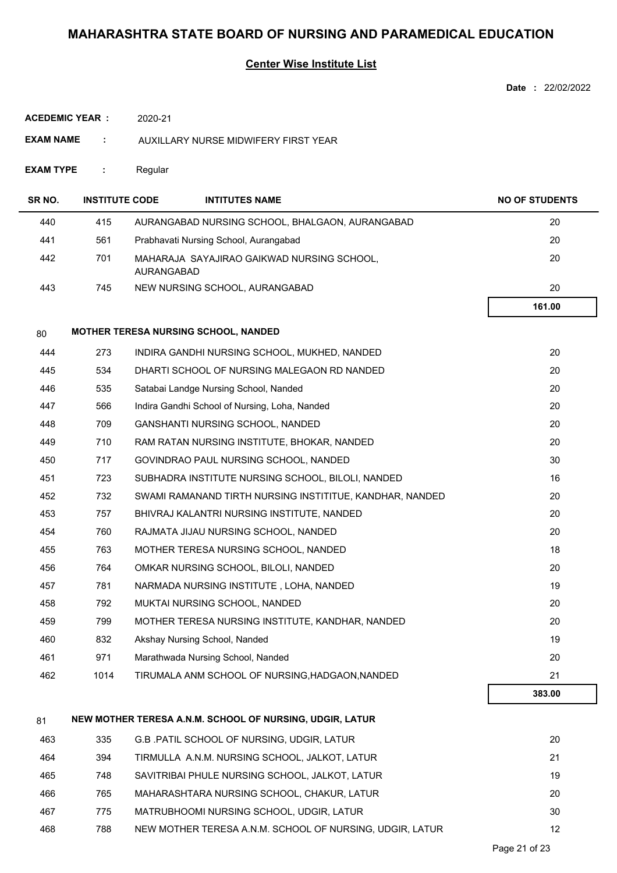## **Center Wise Institute List**

|                       |                       |                                                          | Date: 22/02/2022      |
|-----------------------|-----------------------|----------------------------------------------------------|-----------------------|
| <b>ACEDEMIC YEAR:</b> |                       | 2020-21                                                  |                       |
| <b>EXAM NAME</b>      | ÷                     | AUXILLARY NURSE MIDWIFERY FIRST YEAR                     |                       |
| <b>EXAM TYPE</b>      | ÷                     | Regular                                                  |                       |
| SR NO.                | <b>INSTITUTE CODE</b> | <b>INTITUTES NAME</b>                                    | <b>NO OF STUDENTS</b> |
| 440                   | 415                   | AURANGABAD NURSING SCHOOL, BHALGAON, AURANGABAD          | 20                    |
| 441                   | 561                   | Prabhavati Nursing School, Aurangabad                    | 20                    |
| 442                   | 701                   | MAHARAJA SAYAJIRAO GAIKWAD NURSING SCHOOL,<br>AURANGABAD | 20                    |
| 443                   | 745                   | NEW NURSING SCHOOL, AURANGABAD                           | 20                    |
|                       |                       |                                                          | 161.00                |
| 80                    |                       | <b>MOTHER TERESA NURSING SCHOOL, NANDED</b>              |                       |
| 444                   | 273                   | INDIRA GANDHI NURSING SCHOOL, MUKHED, NANDED             | 20                    |
| 445                   | 534                   | DHARTI SCHOOL OF NURSING MALEGAON RD NANDED              | 20                    |
| 446                   | 535                   | Satabai Landge Nursing School, Nanded                    | 20                    |
| 447                   | 566                   | Indira Gandhi School of Nursing, Loha, Nanded            | 20                    |
| 448                   | 709                   | GANSHANTI NURSING SCHOOL, NANDED                         | 20                    |
| 449                   | 710                   | RAM RATAN NURSING INSTITUTE, BHOKAR, NANDED              | 20                    |
| 450                   | 717                   | GOVINDRAO PAUL NURSING SCHOOL, NANDED                    | 30                    |
| 451                   | 723                   | SUBHADRA INSTITUTE NURSING SCHOOL, BILOLI, NANDED        | 16                    |
| 452                   | 732                   | SWAMI RAMANAND TIRTH NURSING INSTITITUE, KANDHAR, NANDED | 20                    |
| 453                   | 757                   | BHIVRAJ KALANTRI NURSING INSTITUTE, NANDED               | 20                    |
| 454                   | 760                   | RAJMATA JIJAU NURSING SCHOOL, NANDED                     | 20                    |
| 455                   | 763                   | MOTHER TERESA NURSING SCHOOL, NANDED                     | 18                    |
| 456                   | 764                   | OMKAR NURSING SCHOOL, BILOLI, NANDED                     | 20                    |
| 457                   | 781                   | NARMADA NURSING INSTITUTE, LOHA, NANDED                  | 19                    |
| 458                   | 792                   | MUKTAI NURSING SCHOOL, NANDED                            | 20                    |
| 459                   | 799                   | MOTHER TERESA NURSING INSTITUTE, KANDHAR, NANDED         | 20                    |
| 460                   | 832                   | Akshay Nursing School, Nanded                            | 19                    |
| 461                   | 971                   | Marathwada Nursing School, Nanded                        | 20                    |
| 462                   | 1014                  | TIRUMALA ANM SCHOOL OF NURSING, HADGAON, NANDED          | 21                    |
|                       |                       |                                                          | 383.00                |
| 81                    |                       | NEW MOTHER TERESA A.N.M. SCHOOL OF NURSING, UDGIR, LATUR |                       |
| 463                   | 335                   | G.B. PATIL SCHOOL OF NURSING, UDGIR, LATUR               | 20                    |
| 464                   | 394                   | TIRMULLA A.N.M. NURSING SCHOOL, JALKOT, LATUR            | 21                    |
| 465                   | 748                   | SAVITRIBAI PHULE NURSING SCHOOL, JALKOT, LATUR           | 19                    |
| 466                   | 765                   | MAHARASHTARA NURSING SCHOOL, CHAKUR, LATUR               | 20                    |

467 775 MATRUBHOOMI NURSING SCHOOL, UDGIR, LATUR 30 468 788 NEW MOTHER TERESA A.N.M. SCHOOL OF NURSING, UDGIR, LATUR 12 1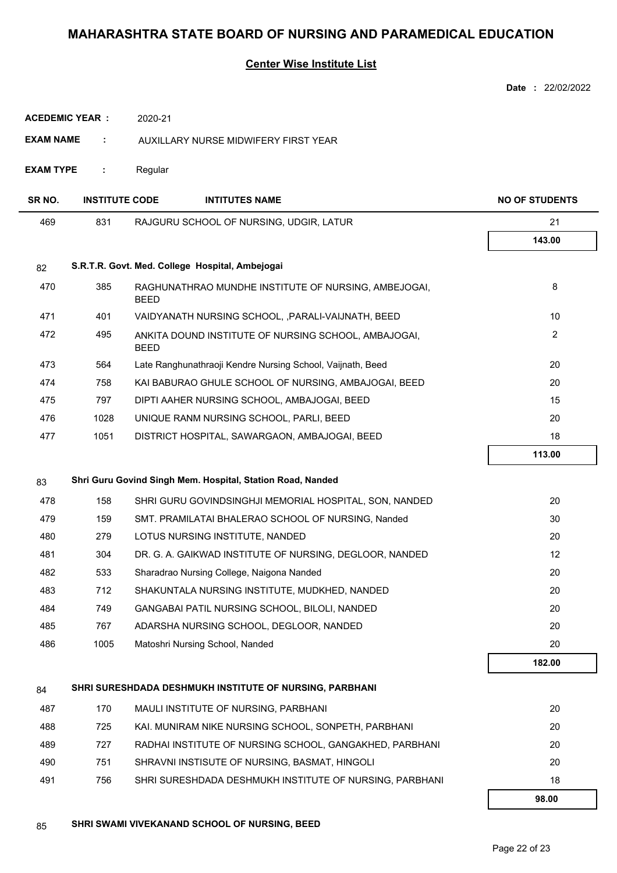|                       |                       |                                                                     | Date: 22/02/2022      |
|-----------------------|-----------------------|---------------------------------------------------------------------|-----------------------|
| <b>ACEDEMIC YEAR:</b> |                       | 2020-21                                                             |                       |
| EXAM NAME<br>÷        |                       | AUXILLARY NURSE MIDWIFERY FIRST YEAR                                |                       |
| <b>EXAM TYPE</b>      | ÷                     | Regular                                                             |                       |
| SR NO.                | <b>INSTITUTE CODE</b> | <b>INTITUTES NAME</b>                                               | <b>NO OF STUDENTS</b> |
| 469                   | 831                   | RAJGURU SCHOOL OF NURSING, UDGIR, LATUR                             | 21                    |
|                       |                       |                                                                     | 143.00                |
| 82                    |                       | S.R.T.R. Govt. Med. College Hospital, Ambejogai                     |                       |
| 470                   | 385                   | RAGHUNATHRAO MUNDHE INSTITUTE OF NURSING, AMBEJOGAI,<br><b>BEED</b> | 8                     |
| 471                   | 401                   | VAIDYANATH NURSING SCHOOL, , PARALI-VAIJNATH, BEED                  | 10                    |
| 472                   | 495                   | ANKITA DOUND INSTITUTE OF NURSING SCHOOL, AMBAJOGAI,<br><b>BEED</b> | 2                     |
| 473                   | 564                   | Late Ranghunathraoji Kendre Nursing School, Vaijnath, Beed          | 20                    |
| 474                   | 758                   | KAI BABURAO GHULE SCHOOL OF NURSING, AMBAJOGAI, BEED                | 20                    |
| 475                   | 797                   | DIPTI AAHER NURSING SCHOOL, AMBAJOGAI, BEED                         | 15                    |
| 476                   | 1028                  | UNIQUE RANM NURSING SCHOOL, PARLI, BEED                             | 20                    |
| 477                   | 1051                  | DISTRICT HOSPITAL, SAWARGAON, AMBAJOGAI, BEED                       | 18                    |
|                       |                       |                                                                     | 113.00                |
| 83                    |                       | Shri Guru Govind Singh Mem. Hospital, Station Road, Nanded          |                       |
| 478                   | 158                   | SHRI GURU GOVINDSINGHJI MEMORIAL HOSPITAL, SON, NANDED              | 20                    |
| 479                   | 159                   | SMT. PRAMILATAI BHALERAO SCHOOL OF NURSING, Nanded                  | 30                    |
| 480                   | 279                   | LOTUS NURSING INSTITUTE, NANDED                                     | 20                    |
| 481                   | 304                   | DR. G. A. GAIKWAD INSTITUTE OF NURSING, DEGLOOR, NANDED             | 12                    |
| 482                   | 533                   | Sharadrao Nursing College, Naigona Nanded                           | 20                    |
| 483                   | 712                   | SHAKUNTALA NURSING INSTITUTE, MUDKHED, NANDED                       | 20                    |
| 484                   | 749                   | GANGABAI PATIL NURSING SCHOOL, BILOLI, NANDED                       | 20                    |
| 485                   | 767                   | ADARSHA NURSING SCHOOL, DEGLOOR, NANDED                             | 20                    |
| 486                   | 1005                  | Matoshri Nursing School, Nanded                                     | 20                    |
|                       |                       |                                                                     | 182.00                |
| 84                    |                       | SHRI SURESHDADA DESHMUKH INSTITUTE OF NURSING, PARBHANI             |                       |
| 487                   | 170                   | MAULI INSTITUTE OF NURSING, PARBHANI                                | 20                    |
| 488                   | 725                   | KAI. MUNIRAM NIKE NURSING SCHOOL, SONPETH, PARBHANI                 | 20                    |
| 489                   | 727                   | RADHAI INSTITUTE OF NURSING SCHOOL, GANGAKHED, PARBHANI             | 20                    |
| 490                   | 751                   | SHRAVNI INSTISUTE OF NURSING, BASMAT, HINGOLI                       | 20                    |
| 491                   | 756                   | SHRI SURESHDADA DESHMUKH INSTITUTE OF NURSING, PARBHANI             | 18                    |
|                       |                       |                                                                     | 98.00                 |